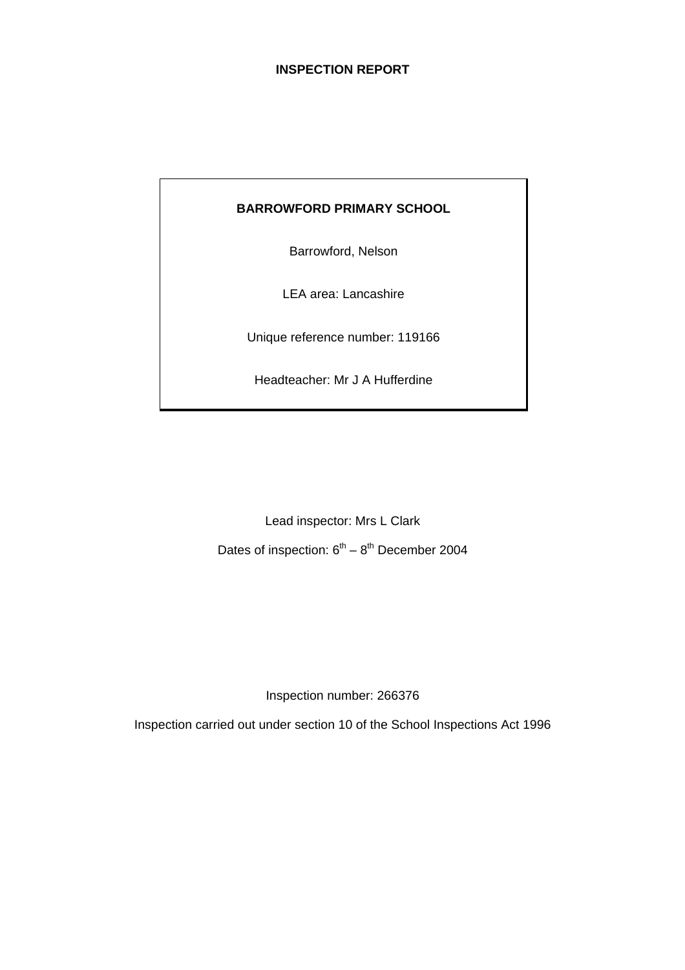## **INSPECTION REPORT**

## **BARROWFORD PRIMARY SCHOOL**

Barrowford, Nelson

LEA area: Lancashire

Unique reference number: 119166

Headteacher: Mr J A Hufferdine

Lead inspector: Mrs L Clark

Dates of inspection:  $6<sup>th</sup> - 8<sup>th</sup>$  December 2004

Inspection number: 266376

Inspection carried out under section 10 of the School Inspections Act 1996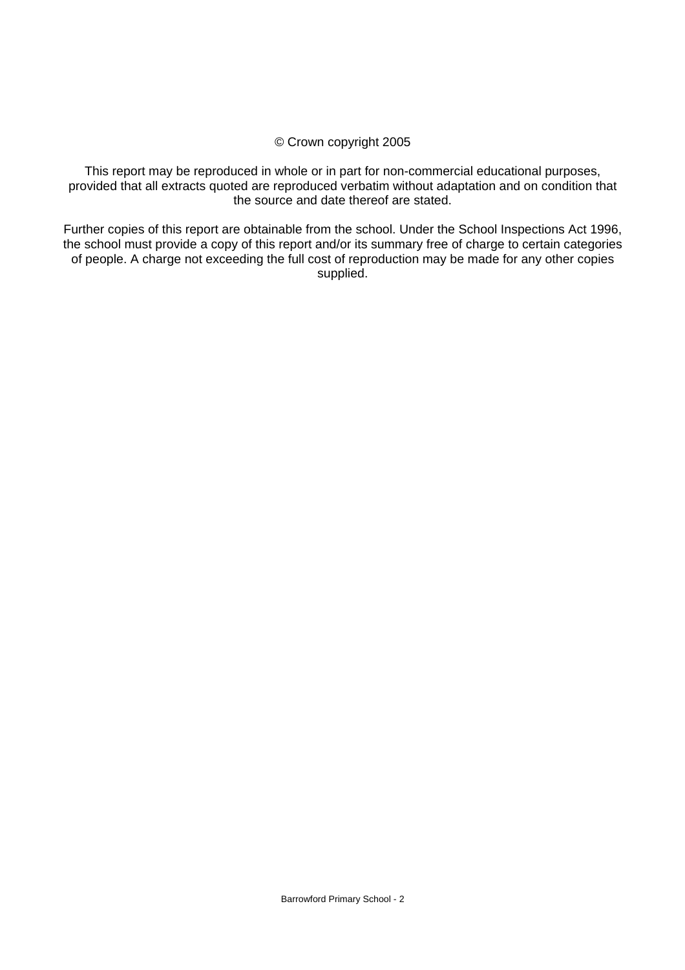#### © Crown copyright 2005

This report may be reproduced in whole or in part for non-commercial educational purposes, provided that all extracts quoted are reproduced verbatim without adaptation and on condition that the source and date thereof are stated.

Further copies of this report are obtainable from the school. Under the School Inspections Act 1996, the school must provide a copy of this report and/or its summary free of charge to certain categories of people. A charge not exceeding the full cost of reproduction may be made for any other copies supplied.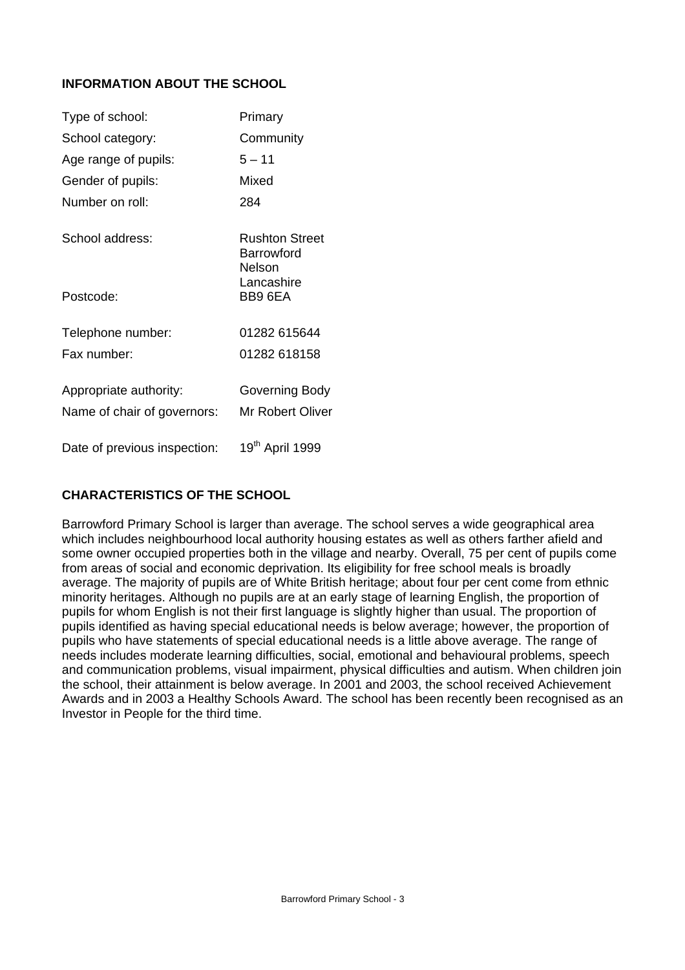## **INFORMATION ABOUT THE SCHOOL**

| Type of school:              | Primary                                              |
|------------------------------|------------------------------------------------------|
| School category:             | Community                                            |
| Age range of pupils:         | $5 - 11$                                             |
| Gender of pupils:            | Mixed                                                |
| Number on roll:              | 284                                                  |
| School address:              | <b>Rushton Street</b><br><b>Barrowford</b><br>Nelson |
| Postcode:                    | Lancashire<br>BB9 6EA                                |
| Telephone number:            | 01282 615644                                         |
| Fax number:                  | 01282 618158                                         |
| Appropriate authority:       | Governing Body                                       |
| Name of chair of governors:  | Mr Robert Oliver                                     |
| Date of previous inspection: | 19th April 1999                                      |

## **CHARACTERISTICS OF THE SCHOOL**

Barrowford Primary School is larger than average. The school serves a wide geographical area which includes neighbourhood local authority housing estates as well as others farther afield and some owner occupied properties both in the village and nearby. Overall, 75 per cent of pupils come from areas of social and economic deprivation. Its eligibility for free school meals is broadly average. The majority of pupils are of White British heritage; about four per cent come from ethnic minority heritages. Although no pupils are at an early stage of learning English, the proportion of pupils for whom English is not their first language is slightly higher than usual. The proportion of pupils identified as having special educational needs is below average; however, the proportion of pupils who have statements of special educational needs is a little above average. The range of needs includes moderate learning difficulties, social, emotional and behavioural problems, speech and communication problems, visual impairment, physical difficulties and autism. When children join the school, their attainment is below average. In 2001 and 2003, the school received Achievement Awards and in 2003 a Healthy Schools Award. The school has been recently been recognised as an Investor in People for the third time.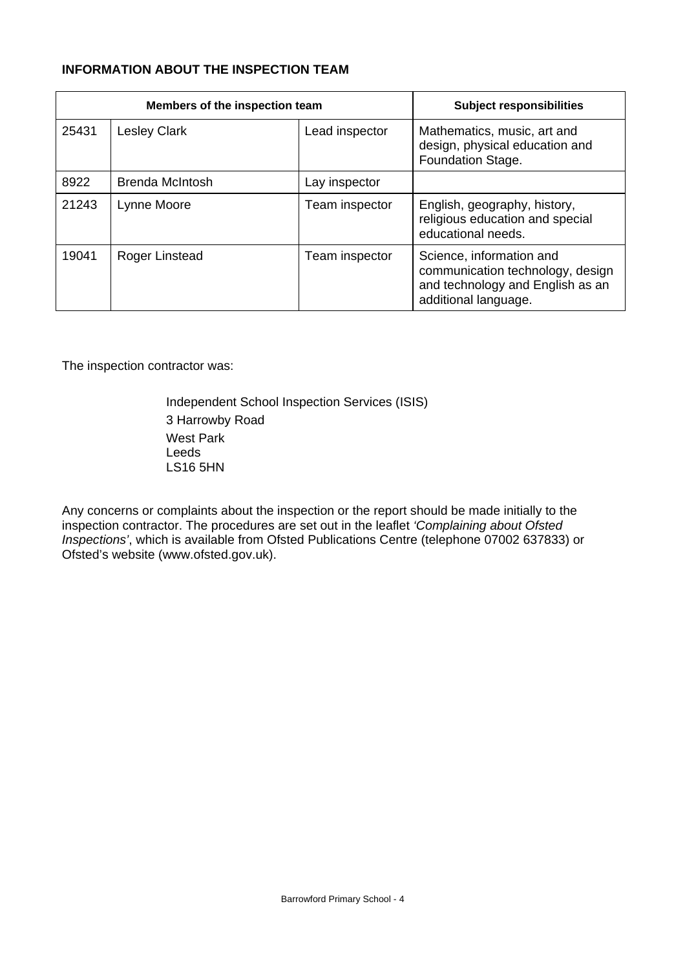## **INFORMATION ABOUT THE INSPECTION TEAM**

| Members of the inspection team |                        |                | <b>Subject responsibilities</b>                                                                                          |
|--------------------------------|------------------------|----------------|--------------------------------------------------------------------------------------------------------------------------|
| 25431                          | <b>Lesley Clark</b>    | Lead inspector | Mathematics, music, art and<br>design, physical education and<br>Foundation Stage.                                       |
| 8922                           | <b>Brenda McIntosh</b> | Lay inspector  |                                                                                                                          |
| 21243                          | Lynne Moore            | Team inspector | English, geography, history,<br>religious education and special<br>educational needs.                                    |
| 19041                          | Roger Linstead         | Team inspector | Science, information and<br>communication technology, design<br>and technology and English as an<br>additional language. |

The inspection contractor was:

 Independent School Inspection Services (ISIS) 3 Harrowby Road West Park Leeds LS16 5HN

Any concerns or complaints about the inspection or the report should be made initially to the inspection contractor. The procedures are set out in the leaflet *'Complaining about Ofsted Inspections'*, which is available from Ofsted Publications Centre (telephone 07002 637833) or Ofsted's website (www.ofsted.gov.uk).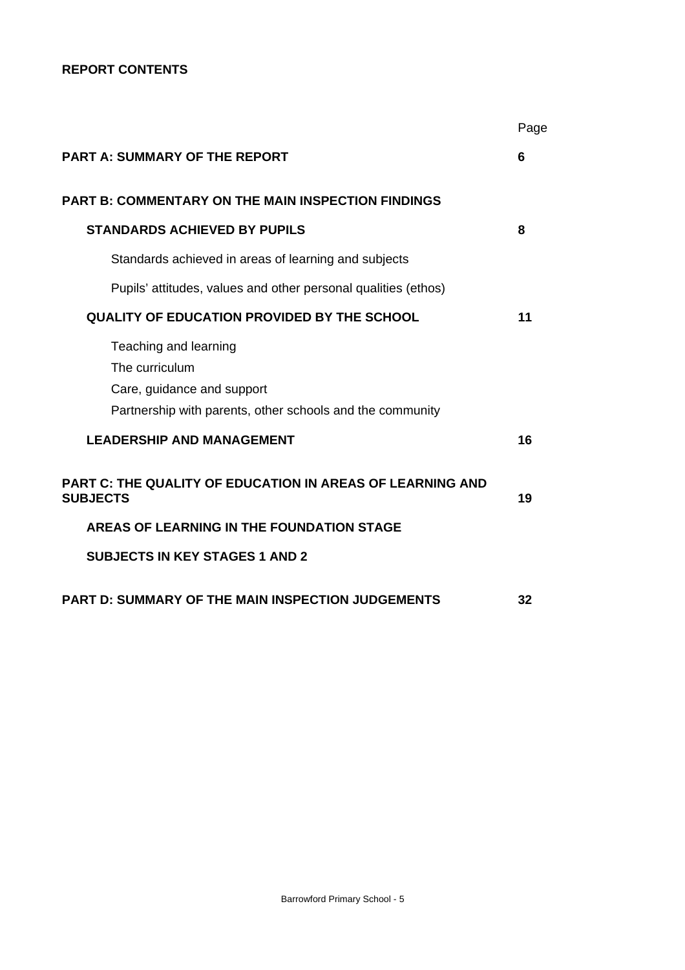## **REPORT CONTENTS**

|                                                                                                                                    | Page |
|------------------------------------------------------------------------------------------------------------------------------------|------|
| <b>PART A: SUMMARY OF THE REPORT</b>                                                                                               | 6    |
| PART B: COMMENTARY ON THE MAIN INSPECTION FINDINGS                                                                                 |      |
| <b>STANDARDS ACHIEVED BY PUPILS</b>                                                                                                | 8    |
| Standards achieved in areas of learning and subjects                                                                               |      |
| Pupils' attitudes, values and other personal qualities (ethos)                                                                     |      |
| <b>QUALITY OF EDUCATION PROVIDED BY THE SCHOOL</b>                                                                                 | 11   |
| Teaching and learning<br>The curriculum<br>Care, guidance and support<br>Partnership with parents, other schools and the community |      |
| <b>LEADERSHIP AND MANAGEMENT</b>                                                                                                   | 16   |
| PART C: THE QUALITY OF EDUCATION IN AREAS OF LEARNING AND<br><b>SUBJECTS</b>                                                       | 19   |
| AREAS OF LEARNING IN THE FOUNDATION STAGE                                                                                          |      |
| <b>SUBJECTS IN KEY STAGES 1 AND 2</b>                                                                                              |      |
| PART D: SUMMARY OF THE MAIN INSPECTION JUDGEMENTS                                                                                  | 32   |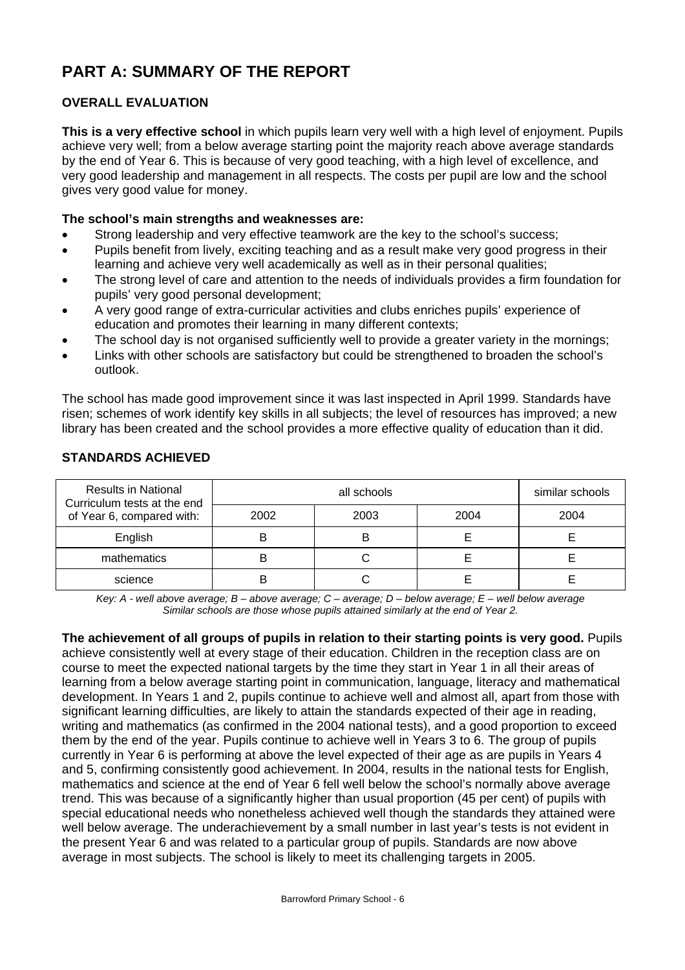# **PART A: SUMMARY OF THE REPORT**

## **OVERALL EVALUATION**

**This is a very effective school** in which pupils learn very well with a high level of enjoyment. Pupils achieve very well; from a below average starting point the majority reach above average standards by the end of Year 6. This is because of very good teaching, with a high level of excellence, and very good leadership and management in all respects. The costs per pupil are low and the school gives very good value for money.

## **The school's main strengths and weaknesses are:**

- Strong leadership and very effective teamwork are the key to the school's success:
- Pupils benefit from lively, exciting teaching and as a result make very good progress in their learning and achieve very well academically as well as in their personal qualities;
- The strong level of care and attention to the needs of individuals provides a firm foundation for pupils' very good personal development;
- A very good range of extra-curricular activities and clubs enriches pupils' experience of education and promotes their learning in many different contexts;
- The school day is not organised sufficiently well to provide a greater variety in the mornings;
- Links with other schools are satisfactory but could be strengthened to broaden the school's outlook.

The school has made good improvement since it was last inspected in April 1999. Standards have risen; schemes of work identify key skills in all subjects; the level of resources has improved; a new library has been created and the school provides a more effective quality of education than it did.

| <b>Results in National</b><br>Curriculum tests at the end |      | similar schools |      |      |
|-----------------------------------------------------------|------|-----------------|------|------|
| of Year 6, compared with:                                 | 2002 | 2003            | 2004 | 2004 |
| English                                                   |      | B               |      |      |
| mathematics                                               |      |                 |      |      |
| science                                                   |      |                 |      |      |

## **STANDARDS ACHIEVED**

*Key: A - well above average; B – above average; C – average; D – below average; E – well below average Similar schools are those whose pupils attained similarly at the end of Year 2.* 

**The achievement of all groups of pupils in relation to their starting points is very good.** Pupils achieve consistently well at every stage of their education. Children in the reception class are on course to meet the expected national targets by the time they start in Year 1 in all their areas of learning from a below average starting point in communication, language, literacy and mathematical development. In Years 1 and 2, pupils continue to achieve well and almost all, apart from those with significant learning difficulties, are likely to attain the standards expected of their age in reading, writing and mathematics (as confirmed in the 2004 national tests), and a good proportion to exceed them by the end of the year. Pupils continue to achieve well in Years 3 to 6. The group of pupils currently in Year 6 is performing at above the level expected of their age as are pupils in Years 4 and 5, confirming consistently good achievement. In 2004, results in the national tests for English, mathematics and science at the end of Year 6 fell well below the school's normally above average trend. This was because of a significantly higher than usual proportion (45 per cent) of pupils with special educational needs who nonetheless achieved well though the standards they attained were well below average. The underachievement by a small number in last year's tests is not evident in the present Year 6 and was related to a particular group of pupils. Standards are now above average in most subjects. The school is likely to meet its challenging targets in 2005.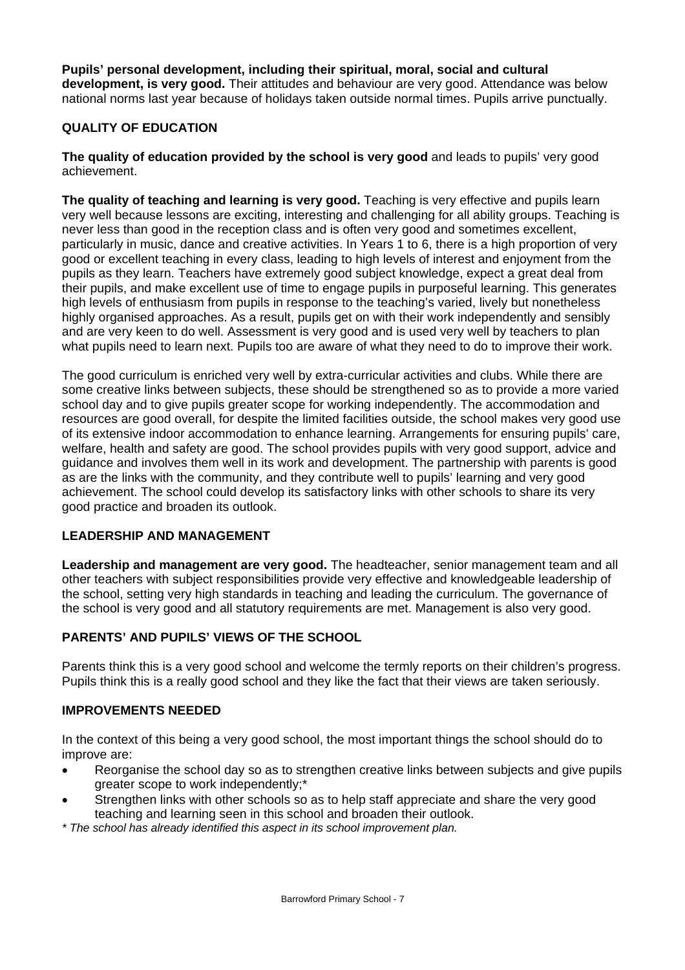**Pupils' personal development, including their spiritual, moral, social and cultural development, is very good.** Their attitudes and behaviour are very good. Attendance was below national norms last year because of holidays taken outside normal times. Pupils arrive punctually.

## **QUALITY OF EDUCATION**

**The quality of education provided by the school is very good** and leads to pupils' very good achievement.

**The quality of teaching and learning is very good.** Teaching is very effective and pupils learn very well because lessons are exciting, interesting and challenging for all ability groups. Teaching is never less than good in the reception class and is often very good and sometimes excellent, particularly in music, dance and creative activities. In Years 1 to 6, there is a high proportion of very good or excellent teaching in every class, leading to high levels of interest and enjoyment from the pupils as they learn. Teachers have extremely good subject knowledge, expect a great deal from their pupils, and make excellent use of time to engage pupils in purposeful learning. This generates high levels of enthusiasm from pupils in response to the teaching's varied, lively but nonetheless highly organised approaches. As a result, pupils get on with their work independently and sensibly and are very keen to do well. Assessment is very good and is used very well by teachers to plan what pupils need to learn next. Pupils too are aware of what they need to do to improve their work.

The good curriculum is enriched very well by extra-curricular activities and clubs. While there are some creative links between subjects, these should be strengthened so as to provide a more varied school day and to give pupils greater scope for working independently. The accommodation and resources are good overall, for despite the limited facilities outside, the school makes very good use of its extensive indoor accommodation to enhance learning. Arrangements for ensuring pupils' care, welfare, health and safety are good. The school provides pupils with very good support, advice and guidance and involves them well in its work and development. The partnership with parents is good as are the links with the community, and they contribute well to pupils' learning and very good achievement. The school could develop its satisfactory links with other schools to share its very good practice and broaden its outlook.

## **LEADERSHIP AND MANAGEMENT**

**Leadership and management are very good.** The headteacher, senior management team and all other teachers with subject responsibilities provide very effective and knowledgeable leadership of the school, setting very high standards in teaching and leading the curriculum. The governance of the school is very good and all statutory requirements are met. Management is also very good.

## **PARENTS' AND PUPILS' VIEWS OF THE SCHOOL**

Parents think this is a very good school and welcome the termly reports on their children's progress. Pupils think this is a really good school and they like the fact that their views are taken seriously.

## **IMPROVEMENTS NEEDED**

In the context of this being a very good school, the most important things the school should do to improve are:

- Reorganise the school day so as to strengthen creative links between subjects and give pupils greater scope to work independently;\*
- Strengthen links with other schools so as to help staff appreciate and share the very good teaching and learning seen in this school and broaden their outlook.
- *\* The school has already identified this aspect in its school improvement plan.*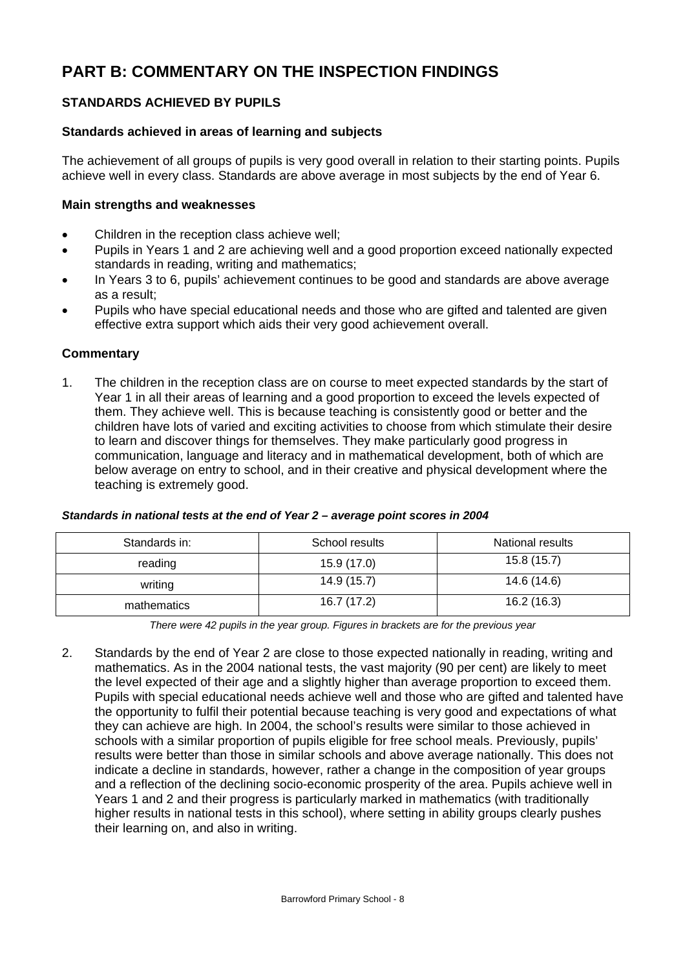# **PART B: COMMENTARY ON THE INSPECTION FINDINGS**

## **STANDARDS ACHIEVED BY PUPILS**

## **Standards achieved in areas of learning and subjects**

The achievement of all groups of pupils is very good overall in relation to their starting points. Pupils achieve well in every class. Standards are above average in most subjects by the end of Year 6.

#### **Main strengths and weaknesses**

- Children in the reception class achieve well;
- Pupils in Years 1 and 2 are achieving well and a good proportion exceed nationally expected standards in reading, writing and mathematics;
- In Years 3 to 6, pupils' achievement continues to be good and standards are above average as a result;
- Pupils who have special educational needs and those who are gifted and talented are given effective extra support which aids their very good achievement overall.

## **Commentary**

1. The children in the reception class are on course to meet expected standards by the start of Year 1 in all their areas of learning and a good proportion to exceed the levels expected of them. They achieve well. This is because teaching is consistently good or better and the children have lots of varied and exciting activities to choose from which stimulate their desire to learn and discover things for themselves. They make particularly good progress in communication, language and literacy and in mathematical development, both of which are below average on entry to school, and in their creative and physical development where the teaching is extremely good.

| Standards in: | School results | National results |
|---------------|----------------|------------------|
| reading       | 15.9 (17.0)    | 15.8(15.7)       |
| writing       | 14.9 (15.7)    | 14.6 (14.6)      |
| mathematics   | 16.7 (17.2)    | 16.2(16.3)       |

#### *Standards in national tests at the end of Year 2 – average point scores in 2004*

*There were 42 pupils in the year group. Figures in brackets are for the previous year* 

2. Standards by the end of Year 2 are close to those expected nationally in reading, writing and mathematics. As in the 2004 national tests, the vast majority (90 per cent) are likely to meet the level expected of their age and a slightly higher than average proportion to exceed them. Pupils with special educational needs achieve well and those who are gifted and talented have the opportunity to fulfil their potential because teaching is very good and expectations of what they can achieve are high. In 2004, the school's results were similar to those achieved in schools with a similar proportion of pupils eligible for free school meals. Previously, pupils' results were better than those in similar schools and above average nationally. This does not indicate a decline in standards, however, rather a change in the composition of year groups and a reflection of the declining socio-economic prosperity of the area. Pupils achieve well in Years 1 and 2 and their progress is particularly marked in mathematics (with traditionally higher results in national tests in this school), where setting in ability groups clearly pushes their learning on, and also in writing.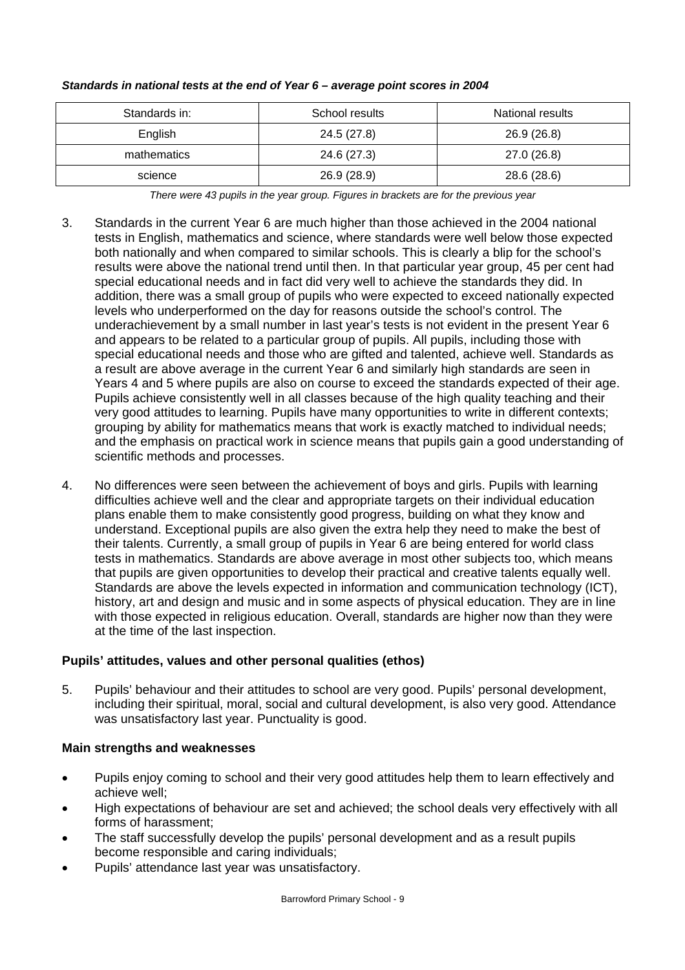| Standards in: | School results | National results |
|---------------|----------------|------------------|
| English       | 24.5 (27.8)    | 26.9(26.8)       |
| mathematics   | 24.6 (27.3)    | 27.0 (26.8)      |
| science       | 26.9 (28.9)    | 28.6 (28.6)      |

#### *Standards in national tests at the end of Year 6 – average point scores in 2004*

*There were 43 pupils in the year group. Figures in brackets are for the previous year* 

- 3. Standards in the current Year 6 are much higher than those achieved in the 2004 national tests in English, mathematics and science, where standards were well below those expected both nationally and when compared to similar schools. This is clearly a blip for the school's results were above the national trend until then. In that particular year group, 45 per cent had special educational needs and in fact did very well to achieve the standards they did. In addition, there was a small group of pupils who were expected to exceed nationally expected levels who underperformed on the day for reasons outside the school's control. The underachievement by a small number in last year's tests is not evident in the present Year 6 and appears to be related to a particular group of pupils. All pupils, including those with special educational needs and those who are gifted and talented, achieve well. Standards as a result are above average in the current Year 6 and similarly high standards are seen in Years 4 and 5 where pupils are also on course to exceed the standards expected of their age. Pupils achieve consistently well in all classes because of the high quality teaching and their very good attitudes to learning. Pupils have many opportunities to write in different contexts; grouping by ability for mathematics means that work is exactly matched to individual needs; and the emphasis on practical work in science means that pupils gain a good understanding of scientific methods and processes.
- 4. No differences were seen between the achievement of boys and girls. Pupils with learning difficulties achieve well and the clear and appropriate targets on their individual education plans enable them to make consistently good progress, building on what they know and understand. Exceptional pupils are also given the extra help they need to make the best of their talents. Currently, a small group of pupils in Year 6 are being entered for world class tests in mathematics. Standards are above average in most other subjects too, which means that pupils are given opportunities to develop their practical and creative talents equally well. Standards are above the levels expected in information and communication technology (ICT), history, art and design and music and in some aspects of physical education. They are in line with those expected in religious education. Overall, standards are higher now than they were at the time of the last inspection.

## **Pupils' attitudes, values and other personal qualities (ethos)**

5. Pupils' behaviour and their attitudes to school are very good. Pupils' personal development, including their spiritual, moral, social and cultural development, is also very good. Attendance was unsatisfactory last year. Punctuality is good.

## **Main strengths and weaknesses**

- Pupils enjoy coming to school and their very good attitudes help them to learn effectively and achieve well;
- High expectations of behaviour are set and achieved; the school deals very effectively with all forms of harassment;
- The staff successfully develop the pupils' personal development and as a result pupils become responsible and caring individuals;
- Pupils' attendance last year was unsatisfactory.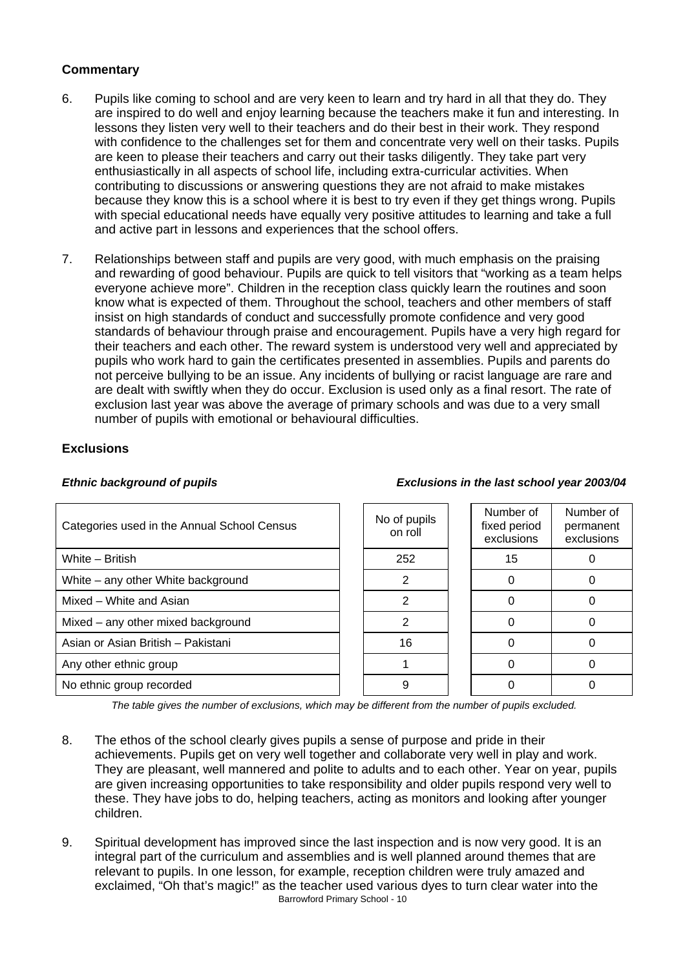## **Commentary**

- 6. Pupils like coming to school and are very keen to learn and try hard in all that they do. They are inspired to do well and enjoy learning because the teachers make it fun and interesting. In lessons they listen very well to their teachers and do their best in their work. They respond with confidence to the challenges set for them and concentrate very well on their tasks. Pupils are keen to please their teachers and carry out their tasks diligently. They take part very enthusiastically in all aspects of school life, including extra-curricular activities. When contributing to discussions or answering questions they are not afraid to make mistakes because they know this is a school where it is best to try even if they get things wrong. Pupils with special educational needs have equally very positive attitudes to learning and take a full and active part in lessons and experiences that the school offers.
- 7. Relationships between staff and pupils are very good, with much emphasis on the praising and rewarding of good behaviour. Pupils are quick to tell visitors that "working as a team helps everyone achieve more". Children in the reception class quickly learn the routines and soon know what is expected of them. Throughout the school, teachers and other members of staff insist on high standards of conduct and successfully promote confidence and very good standards of behaviour through praise and encouragement. Pupils have a very high regard for their teachers and each other. The reward system is understood very well and appreciated by pupils who work hard to gain the certificates presented in assemblies. Pupils and parents do not perceive bullying to be an issue. Any incidents of bullying or racist language are rare and are dealt with swiftly when they do occur. Exclusion is used only as a final resort. The rate of exclusion last year was above the average of primary schools and was due to a very small number of pupils with emotional or behavioural difficulties.

## **Exclusions**

| Categories used in the Annual School Census | No of pupils<br>on roll | Number of<br>fixed period<br>exclusions | Number of<br>permanent<br>exclusions |
|---------------------------------------------|-------------------------|-----------------------------------------|--------------------------------------|
| White - British                             | 252                     | 15                                      |                                      |
| White – any other White background          | 2                       |                                         |                                      |
| Mixed - White and Asian                     | 2                       |                                         |                                      |
| Mixed – any other mixed background          | 2                       | ∩                                       |                                      |
| Asian or Asian British - Pakistani          | 16                      |                                         |                                      |
| Any other ethnic group                      |                         |                                         |                                      |
| No ethnic group recorded                    | 9                       |                                         |                                      |

*The table gives the number of exclusions, which may be different from the number of pupils excluded.*

- 8. The ethos of the school clearly gives pupils a sense of purpose and pride in their achievements. Pupils get on very well together and collaborate very well in play and work. They are pleasant, well mannered and polite to adults and to each other. Year on year, pupils are given increasing opportunities to take responsibility and older pupils respond very well to these. They have jobs to do, helping teachers, acting as monitors and looking after younger children.
- Barrowford Primary School 10 9. Spiritual development has improved since the last inspection and is now very good. It is an integral part of the curriculum and assemblies and is well planned around themes that are relevant to pupils. In one lesson, for example, reception children were truly amazed and exclaimed, "Oh that's magic!" as the teacher used various dyes to turn clear water into the

#### *Ethnic background of pupils Exclusions in the last school year 2003/04*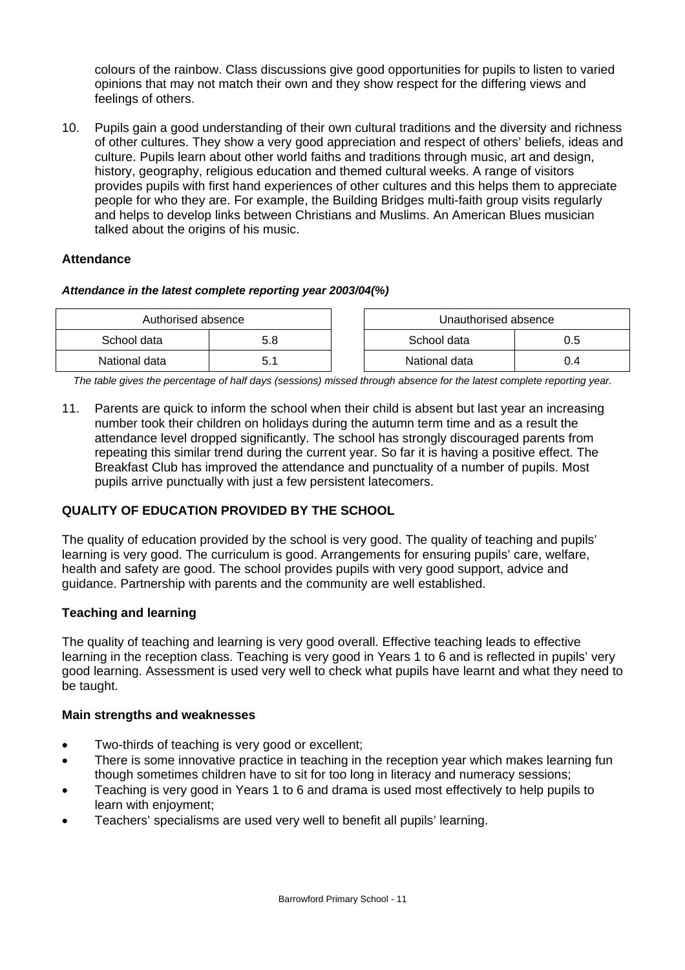colours of the rainbow. Class discussions give good opportunities for pupils to listen to varied opinions that may not match their own and they show respect for the differing views and feelings of others.

10. Pupils gain a good understanding of their own cultural traditions and the diversity and richness of other cultures. They show a very good appreciation and respect of others' beliefs, ideas and culture. Pupils learn about other world faiths and traditions through music, art and design, history, geography, religious education and themed cultural weeks. A range of visitors provides pupils with first hand experiences of other cultures and this helps them to appreciate people for who they are. For example, the Building Bridges multi-faith group visits regularly and helps to develop links between Christians and Muslims. An American Blues musician talked about the origins of his music.

## **Attendance**

## *Attendance in the latest complete reporting year 2003/04(%)*

| Authorised absence |     | Unauthorised absence |  |
|--------------------|-----|----------------------|--|
| School data        | 5.8 | School data<br>J.5   |  |
| National data      |     | National data        |  |

*The table gives the percentage of half days (sessions) missed through absence for the latest complete reporting year.*

11. Parents are quick to inform the school when their child is absent but last year an increasing number took their children on holidays during the autumn term time and as a result the attendance level dropped significantly. The school has strongly discouraged parents from repeating this similar trend during the current year. So far it is having a positive effect. The Breakfast Club has improved the attendance and punctuality of a number of pupils. Most pupils arrive punctually with just a few persistent latecomers.

## **QUALITY OF EDUCATION PROVIDED BY THE SCHOOL**

The quality of education provided by the school is very good. The quality of teaching and pupils' learning is very good. The curriculum is good. Arrangements for ensuring pupils' care, welfare, health and safety are good. The school provides pupils with very good support, advice and guidance. Partnership with parents and the community are well established.

## **Teaching and learning**

The quality of teaching and learning is very good overall. Effective teaching leads to effective learning in the reception class. Teaching is very good in Years 1 to 6 and is reflected in pupils' very good learning. Assessment is used very well to check what pupils have learnt and what they need to be taught.

## **Main strengths and weaknesses**

- Two-thirds of teaching is very good or excellent;
- There is some innovative practice in teaching in the reception year which makes learning fun though sometimes children have to sit for too long in literacy and numeracy sessions;
- Teaching is very good in Years 1 to 6 and drama is used most effectively to help pupils to learn with enjoyment;
- Teachers' specialisms are used very well to benefit all pupils' learning.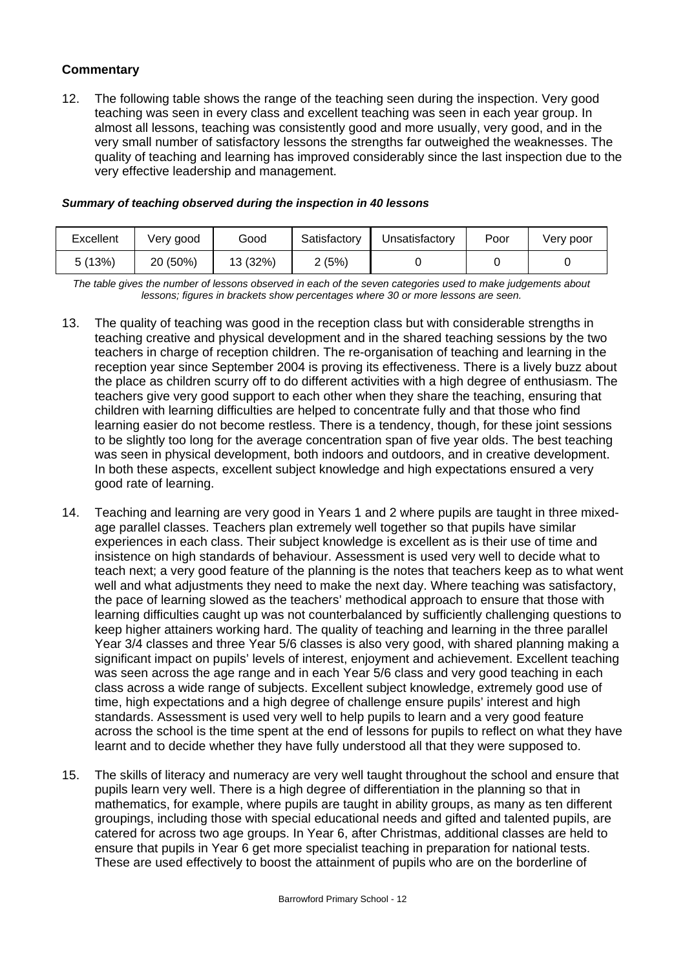## **Commentary**

12. The following table shows the range of the teaching seen during the inspection. Very good teaching was seen in every class and excellent teaching was seen in each year group. In almost all lessons, teaching was consistently good and more usually, very good, and in the very small number of satisfactory lessons the strengths far outweighed the weaknesses. The quality of teaching and learning has improved considerably since the last inspection due to the very effective leadership and management.

| Excellent | Very good | Good     | Satisfactory | Unsatisfactory | Poor | Very poor |
|-----------|-----------|----------|--------------|----------------|------|-----------|
| 5(13%)    | 20 (50%)  | 13 (32%) | 2(5%)        |                |      |           |

#### *Summary of teaching observed during the inspection in 40 lessons*

*The table gives the number of lessons observed in each of the seven categories used to make judgements about lessons; figures in brackets show percentages where 30 or more lessons are seen.* 

- 13. The quality of teaching was good in the reception class but with considerable strengths in teaching creative and physical development and in the shared teaching sessions by the two teachers in charge of reception children. The re-organisation of teaching and learning in the reception year since September 2004 is proving its effectiveness. There is a lively buzz about the place as children scurry off to do different activities with a high degree of enthusiasm. The teachers give very good support to each other when they share the teaching, ensuring that children with learning difficulties are helped to concentrate fully and that those who find learning easier do not become restless. There is a tendency, though, for these joint sessions to be slightly too long for the average concentration span of five year olds. The best teaching was seen in physical development, both indoors and outdoors, and in creative development. In both these aspects, excellent subject knowledge and high expectations ensured a very good rate of learning.
- 14. Teaching and learning are very good in Years 1 and 2 where pupils are taught in three mixedage parallel classes. Teachers plan extremely well together so that pupils have similar experiences in each class. Their subject knowledge is excellent as is their use of time and insistence on high standards of behaviour. Assessment is used very well to decide what to teach next; a very good feature of the planning is the notes that teachers keep as to what went well and what adjustments they need to make the next day. Where teaching was satisfactory, the pace of learning slowed as the teachers' methodical approach to ensure that those with learning difficulties caught up was not counterbalanced by sufficiently challenging questions to keep higher attainers working hard. The quality of teaching and learning in the three parallel Year 3/4 classes and three Year 5/6 classes is also very good, with shared planning making a significant impact on pupils' levels of interest, enjoyment and achievement. Excellent teaching was seen across the age range and in each Year 5/6 class and very good teaching in each class across a wide range of subjects. Excellent subject knowledge, extremely good use of time, high expectations and a high degree of challenge ensure pupils' interest and high standards. Assessment is used very well to help pupils to learn and a very good feature across the school is the time spent at the end of lessons for pupils to reflect on what they have learnt and to decide whether they have fully understood all that they were supposed to.
- 15. The skills of literacy and numeracy are very well taught throughout the school and ensure that pupils learn very well. There is a high degree of differentiation in the planning so that in mathematics, for example, where pupils are taught in ability groups, as many as ten different groupings, including those with special educational needs and gifted and talented pupils, are catered for across two age groups. In Year 6, after Christmas, additional classes are held to ensure that pupils in Year 6 get more specialist teaching in preparation for national tests. These are used effectively to boost the attainment of pupils who are on the borderline of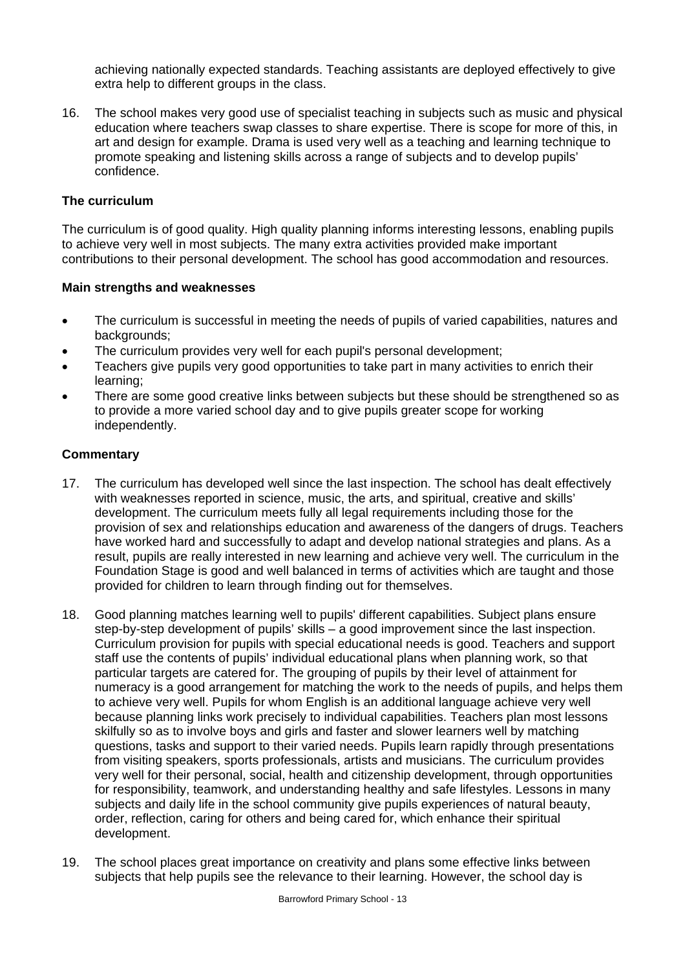achieving nationally expected standards. Teaching assistants are deployed effectively to give extra help to different groups in the class.

16. The school makes very good use of specialist teaching in subjects such as music and physical education where teachers swap classes to share expertise. There is scope for more of this, in art and design for example. Drama is used very well as a teaching and learning technique to promote speaking and listening skills across a range of subjects and to develop pupils' confidence.

#### **The curriculum**

The curriculum is of good quality. High quality planning informs interesting lessons, enabling pupils to achieve very well in most subjects. The many extra activities provided make important contributions to their personal development. The school has good accommodation and resources.

#### **Main strengths and weaknesses**

- The curriculum is successful in meeting the needs of pupils of varied capabilities, natures and backgrounds:
- The curriculum provides very well for each pupil's personal development;
- Teachers give pupils very good opportunities to take part in many activities to enrich their learning;
- There are some good creative links between subjects but these should be strengthened so as to provide a more varied school day and to give pupils greater scope for working independently.

## **Commentary**

- 17. The curriculum has developed well since the last inspection. The school has dealt effectively with weaknesses reported in science, music, the arts, and spiritual, creative and skills' development. The curriculum meets fully all legal requirements including those for the provision of sex and relationships education and awareness of the dangers of drugs. Teachers have worked hard and successfully to adapt and develop national strategies and plans. As a result, pupils are really interested in new learning and achieve very well. The curriculum in the Foundation Stage is good and well balanced in terms of activities which are taught and those provided for children to learn through finding out for themselves.
- 18. Good planning matches learning well to pupils' different capabilities. Subject plans ensure step-by-step development of pupils' skills – a good improvement since the last inspection. Curriculum provision for pupils with special educational needs is good. Teachers and support staff use the contents of pupils' individual educational plans when planning work, so that particular targets are catered for. The grouping of pupils by their level of attainment for numeracy is a good arrangement for matching the work to the needs of pupils, and helps them to achieve very well. Pupils for whom English is an additional language achieve very well because planning links work precisely to individual capabilities. Teachers plan most lessons skilfully so as to involve boys and girls and faster and slower learners well by matching questions, tasks and support to their varied needs. Pupils learn rapidly through presentations from visiting speakers, sports professionals, artists and musicians. The curriculum provides very well for their personal, social, health and citizenship development, through opportunities for responsibility, teamwork, and understanding healthy and safe lifestyles. Lessons in many subjects and daily life in the school community give pupils experiences of natural beauty, order, reflection, caring for others and being cared for, which enhance their spiritual development.
- 19. The school places great importance on creativity and plans some effective links between subjects that help pupils see the relevance to their learning. However, the school day is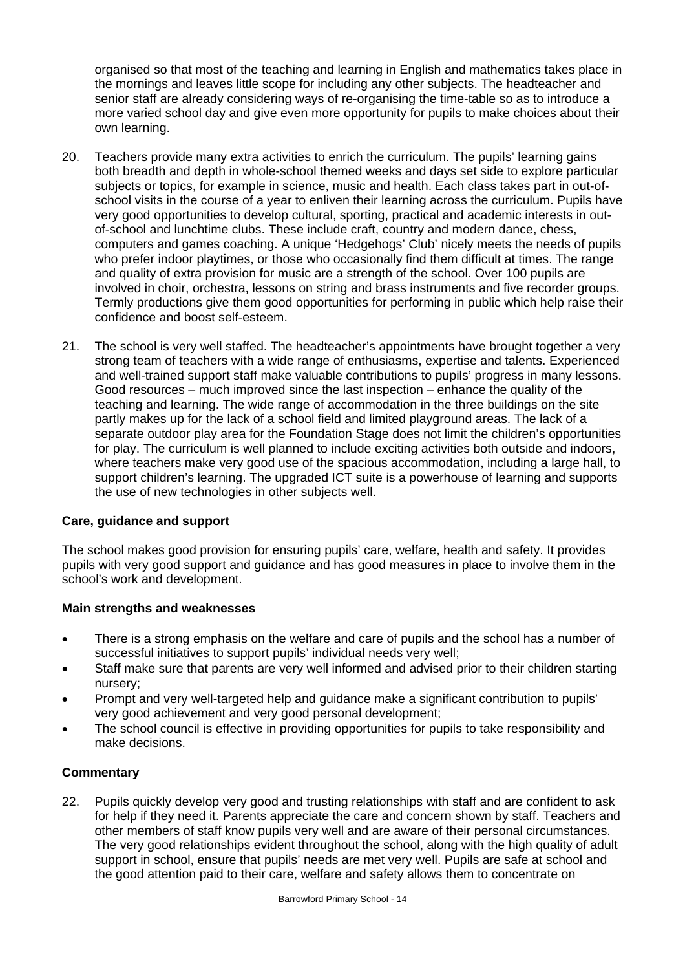organised so that most of the teaching and learning in English and mathematics takes place in the mornings and leaves little scope for including any other subjects. The headteacher and senior staff are already considering ways of re-organising the time-table so as to introduce a more varied school day and give even more opportunity for pupils to make choices about their own learning.

- 20. Teachers provide many extra activities to enrich the curriculum. The pupils' learning gains both breadth and depth in whole-school themed weeks and days set side to explore particular subjects or topics, for example in science, music and health. Each class takes part in out-ofschool visits in the course of a year to enliven their learning across the curriculum. Pupils have very good opportunities to develop cultural, sporting, practical and academic interests in outof-school and lunchtime clubs. These include craft, country and modern dance, chess, computers and games coaching. A unique 'Hedgehogs' Club' nicely meets the needs of pupils who prefer indoor playtimes, or those who occasionally find them difficult at times. The range and quality of extra provision for music are a strength of the school. Over 100 pupils are involved in choir, orchestra, lessons on string and brass instruments and five recorder groups. Termly productions give them good opportunities for performing in public which help raise their confidence and boost self-esteem.
- 21. The school is very well staffed. The headteacher's appointments have brought together a very strong team of teachers with a wide range of enthusiasms, expertise and talents. Experienced and well-trained support staff make valuable contributions to pupils' progress in many lessons. Good resources – much improved since the last inspection – enhance the quality of the teaching and learning. The wide range of accommodation in the three buildings on the site partly makes up for the lack of a school field and limited playground areas. The lack of a separate outdoor play area for the Foundation Stage does not limit the children's opportunities for play. The curriculum is well planned to include exciting activities both outside and indoors, where teachers make very good use of the spacious accommodation, including a large hall, to support children's learning. The upgraded ICT suite is a powerhouse of learning and supports the use of new technologies in other subjects well.

## **Care, guidance and support**

The school makes good provision for ensuring pupils' care, welfare, health and safety. It provides pupils with very good support and guidance and has good measures in place to involve them in the school's work and development.

## **Main strengths and weaknesses**

- There is a strong emphasis on the welfare and care of pupils and the school has a number of successful initiatives to support pupils' individual needs very well;
- Staff make sure that parents are very well informed and advised prior to their children starting nursery;
- Prompt and very well-targeted help and guidance make a significant contribution to pupils' very good achievement and very good personal development;
- The school council is effective in providing opportunities for pupils to take responsibility and make decisions.

## **Commentary**

22. Pupils quickly develop very good and trusting relationships with staff and are confident to ask for help if they need it. Parents appreciate the care and concern shown by staff. Teachers and other members of staff know pupils very well and are aware of their personal circumstances. The very good relationships evident throughout the school, along with the high quality of adult support in school, ensure that pupils' needs are met very well. Pupils are safe at school and the good attention paid to their care, welfare and safety allows them to concentrate on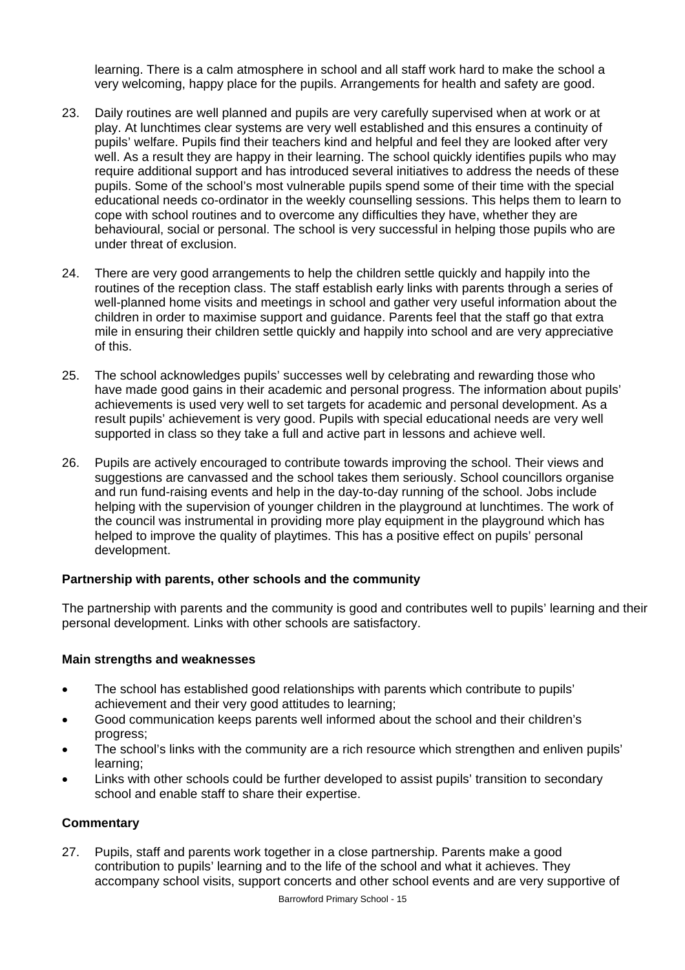learning. There is a calm atmosphere in school and all staff work hard to make the school a very welcoming, happy place for the pupils. Arrangements for health and safety are good.

- 23. Daily routines are well planned and pupils are very carefully supervised when at work or at play. At lunchtimes clear systems are very well established and this ensures a continuity of pupils' welfare. Pupils find their teachers kind and helpful and feel they are looked after very well. As a result they are happy in their learning. The school quickly identifies pupils who may require additional support and has introduced several initiatives to address the needs of these pupils. Some of the school's most vulnerable pupils spend some of their time with the special educational needs co-ordinator in the weekly counselling sessions. This helps them to learn to cope with school routines and to overcome any difficulties they have, whether they are behavioural, social or personal. The school is very successful in helping those pupils who are under threat of exclusion.
- 24. There are very good arrangements to help the children settle quickly and happily into the routines of the reception class. The staff establish early links with parents through a series of well-planned home visits and meetings in school and gather very useful information about the children in order to maximise support and guidance. Parents feel that the staff go that extra mile in ensuring their children settle quickly and happily into school and are very appreciative of this.
- 25. The school acknowledges pupils' successes well by celebrating and rewarding those who have made good gains in their academic and personal progress. The information about pupils' achievements is used very well to set targets for academic and personal development. As a result pupils' achievement is very good. Pupils with special educational needs are very well supported in class so they take a full and active part in lessons and achieve well.
- 26. Pupils are actively encouraged to contribute towards improving the school. Their views and suggestions are canvassed and the school takes them seriously. School councillors organise and run fund-raising events and help in the day-to-day running of the school. Jobs include helping with the supervision of younger children in the playground at lunchtimes. The work of the council was instrumental in providing more play equipment in the playground which has helped to improve the quality of playtimes. This has a positive effect on pupils' personal development.

## **Partnership with parents, other schools and the community**

The partnership with parents and the community is good and contributes well to pupils' learning and their personal development. Links with other schools are satisfactory.

## **Main strengths and weaknesses**

- The school has established good relationships with parents which contribute to pupils' achievement and their very good attitudes to learning;
- Good communication keeps parents well informed about the school and their children's progress;
- The school's links with the community are a rich resource which strengthen and enliven pupils' learning;
- Links with other schools could be further developed to assist pupils' transition to secondary school and enable staff to share their expertise.

## **Commentary**

27. Pupils, staff and parents work together in a close partnership. Parents make a good contribution to pupils' learning and to the life of the school and what it achieves. They accompany school visits, support concerts and other school events and are very supportive of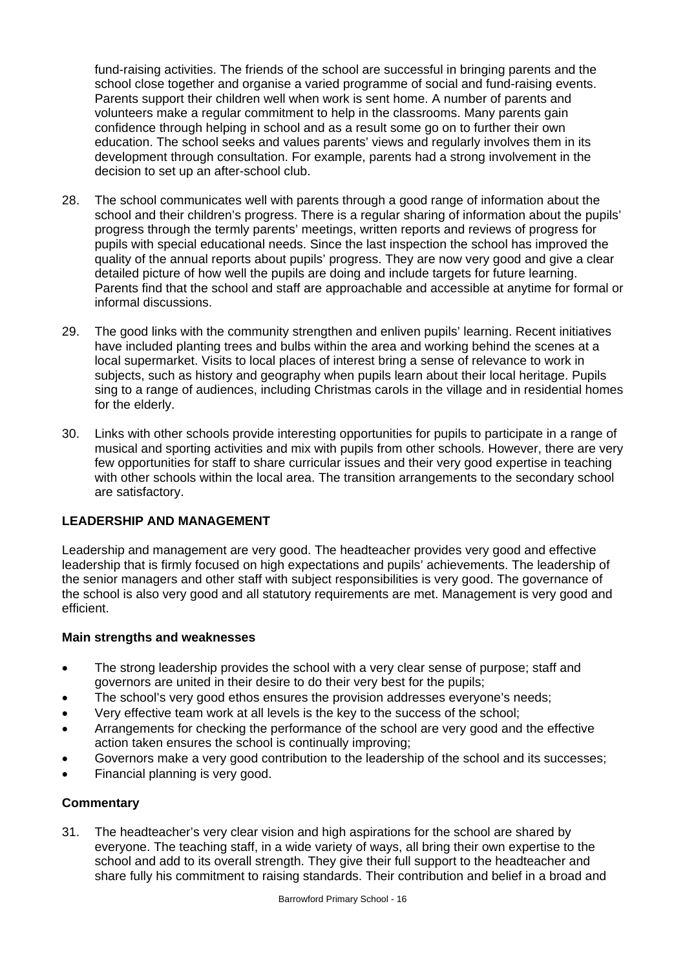fund-raising activities. The friends of the school are successful in bringing parents and the school close together and organise a varied programme of social and fund-raising events. Parents support their children well when work is sent home. A number of parents and volunteers make a regular commitment to help in the classrooms. Many parents gain confidence through helping in school and as a result some go on to further their own education. The school seeks and values parents' views and regularly involves them in its development through consultation. For example, parents had a strong involvement in the decision to set up an after-school club.

- 28. The school communicates well with parents through a good range of information about the school and their children's progress. There is a regular sharing of information about the pupils' progress through the termly parents' meetings, written reports and reviews of progress for pupils with special educational needs. Since the last inspection the school has improved the quality of the annual reports about pupils' progress. They are now very good and give a clear detailed picture of how well the pupils are doing and include targets for future learning. Parents find that the school and staff are approachable and accessible at anytime for formal or informal discussions.
- 29. The good links with the community strengthen and enliven pupils' learning. Recent initiatives have included planting trees and bulbs within the area and working behind the scenes at a local supermarket. Visits to local places of interest bring a sense of relevance to work in subjects, such as history and geography when pupils learn about their local heritage. Pupils sing to a range of audiences, including Christmas carols in the village and in residential homes for the elderly.
- 30. Links with other schools provide interesting opportunities for pupils to participate in a range of musical and sporting activities and mix with pupils from other schools. However, there are very few opportunities for staff to share curricular issues and their very good expertise in teaching with other schools within the local area. The transition arrangements to the secondary school are satisfactory.

## **LEADERSHIP AND MANAGEMENT**

Leadership and management are very good. The headteacher provides very good and effective leadership that is firmly focused on high expectations and pupils' achievements. The leadership of the senior managers and other staff with subject responsibilities is very good. The governance of the school is also very good and all statutory requirements are met. Management is very good and efficient.

## **Main strengths and weaknesses**

- The strong leadership provides the school with a very clear sense of purpose; staff and governors are united in their desire to do their very best for the pupils;
- The school's very good ethos ensures the provision addresses everyone's needs;
- Very effective team work at all levels is the key to the success of the school;
- Arrangements for checking the performance of the school are very good and the effective action taken ensures the school is continually improving;
- Governors make a very good contribution to the leadership of the school and its successes;
- Financial planning is very good.

## **Commentary**

31. The headteacher's very clear vision and high aspirations for the school are shared by everyone. The teaching staff, in a wide variety of ways, all bring their own expertise to the school and add to its overall strength. They give their full support to the headteacher and share fully his commitment to raising standards. Their contribution and belief in a broad and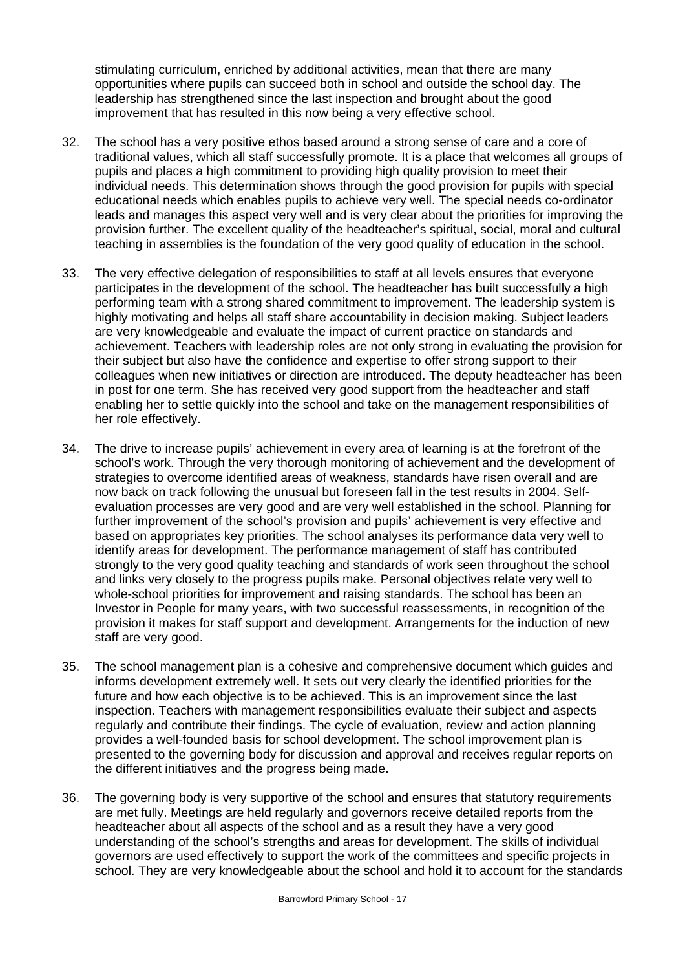stimulating curriculum, enriched by additional activities, mean that there are many opportunities where pupils can succeed both in school and outside the school day. The leadership has strengthened since the last inspection and brought about the good improvement that has resulted in this now being a very effective school.

- 32. The school has a very positive ethos based around a strong sense of care and a core of traditional values, which all staff successfully promote. It is a place that welcomes all groups of pupils and places a high commitment to providing high quality provision to meet their individual needs. This determination shows through the good provision for pupils with special educational needs which enables pupils to achieve very well. The special needs co-ordinator leads and manages this aspect very well and is very clear about the priorities for improving the provision further. The excellent quality of the headteacher's spiritual, social, moral and cultural teaching in assemblies is the foundation of the very good quality of education in the school.
- 33. The very effective delegation of responsibilities to staff at all levels ensures that everyone participates in the development of the school. The headteacher has built successfully a high performing team with a strong shared commitment to improvement. The leadership system is highly motivating and helps all staff share accountability in decision making. Subject leaders are very knowledgeable and evaluate the impact of current practice on standards and achievement. Teachers with leadership roles are not only strong in evaluating the provision for their subject but also have the confidence and expertise to offer strong support to their colleagues when new initiatives or direction are introduced. The deputy headteacher has been in post for one term. She has received very good support from the headteacher and staff enabling her to settle quickly into the school and take on the management responsibilities of her role effectively.
- 34. The drive to increase pupils' achievement in every area of learning is at the forefront of the school's work. Through the very thorough monitoring of achievement and the development of strategies to overcome identified areas of weakness, standards have risen overall and are now back on track following the unusual but foreseen fall in the test results in 2004. Selfevaluation processes are very good and are very well established in the school. Planning for further improvement of the school's provision and pupils' achievement is very effective and based on appropriates key priorities. The school analyses its performance data very well to identify areas for development. The performance management of staff has contributed strongly to the very good quality teaching and standards of work seen throughout the school and links very closely to the progress pupils make. Personal objectives relate very well to whole-school priorities for improvement and raising standards. The school has been an Investor in People for many years, with two successful reassessments, in recognition of the provision it makes for staff support and development. Arrangements for the induction of new staff are very good.
- 35. The school management plan is a cohesive and comprehensive document which guides and informs development extremely well. It sets out very clearly the identified priorities for the future and how each objective is to be achieved. This is an improvement since the last inspection. Teachers with management responsibilities evaluate their subject and aspects regularly and contribute their findings. The cycle of evaluation, review and action planning provides a well-founded basis for school development. The school improvement plan is presented to the governing body for discussion and approval and receives regular reports on the different initiatives and the progress being made.
- 36. The governing body is very supportive of the school and ensures that statutory requirements are met fully. Meetings are held regularly and governors receive detailed reports from the headteacher about all aspects of the school and as a result they have a very good understanding of the school's strengths and areas for development. The skills of individual governors are used effectively to support the work of the committees and specific projects in school. They are very knowledgeable about the school and hold it to account for the standards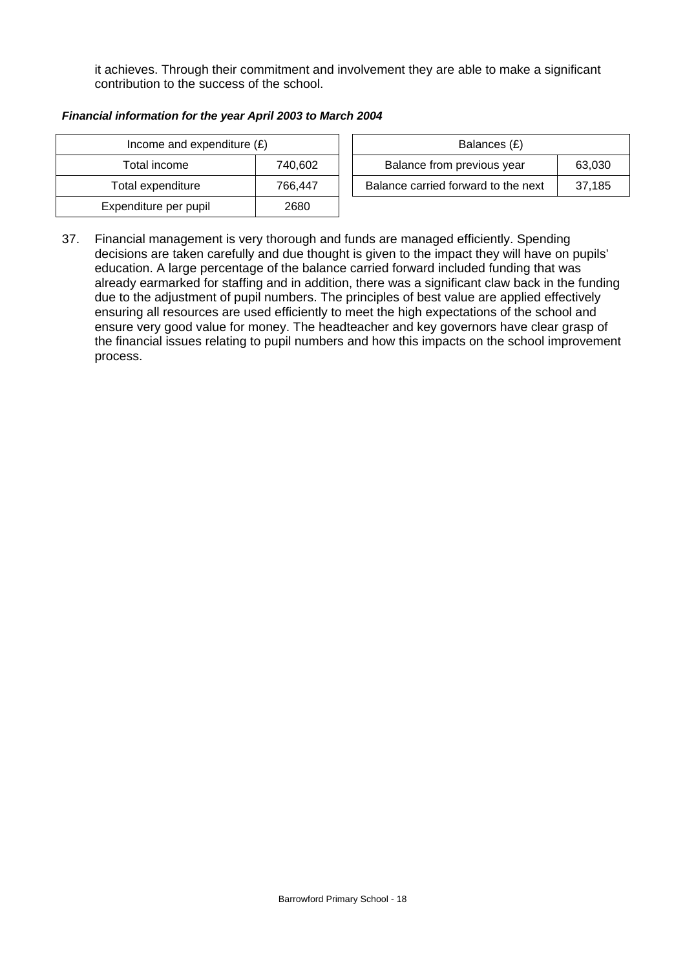it achieves. Through their commitment and involvement they are able to make a significant contribution to the success of the school.

| Income and expenditure $(E)$ | Balances (£) |                                  |
|------------------------------|--------------|----------------------------------|
| Total income                 | 740,602      | Balance from previous year       |
| Total expenditure            | 766.447      | Balance carried forward to the r |
| Expenditure per pupil        | 2680         |                                  |

| Income and expenditure $(E)$ |         |                            | Balances (£)                        |        |
|------------------------------|---------|----------------------------|-------------------------------------|--------|
| Total income                 | 740.602 | Balance from previous year |                                     | 63,030 |
| Total expenditure            | 766.447 |                            | Balance carried forward to the next | 37.185 |

37. Financial management is very thorough and funds are managed efficiently. Spending decisions are taken carefully and due thought is given to the impact they will have on pupils' education. A large percentage of the balance carried forward included funding that was already earmarked for staffing and in addition, there was a significant claw back in the funding due to the adjustment of pupil numbers. The principles of best value are applied effectively ensuring all resources are used efficiently to meet the high expectations of the school and ensure very good value for money. The headteacher and key governors have clear grasp of the financial issues relating to pupil numbers and how this impacts on the school improvement process.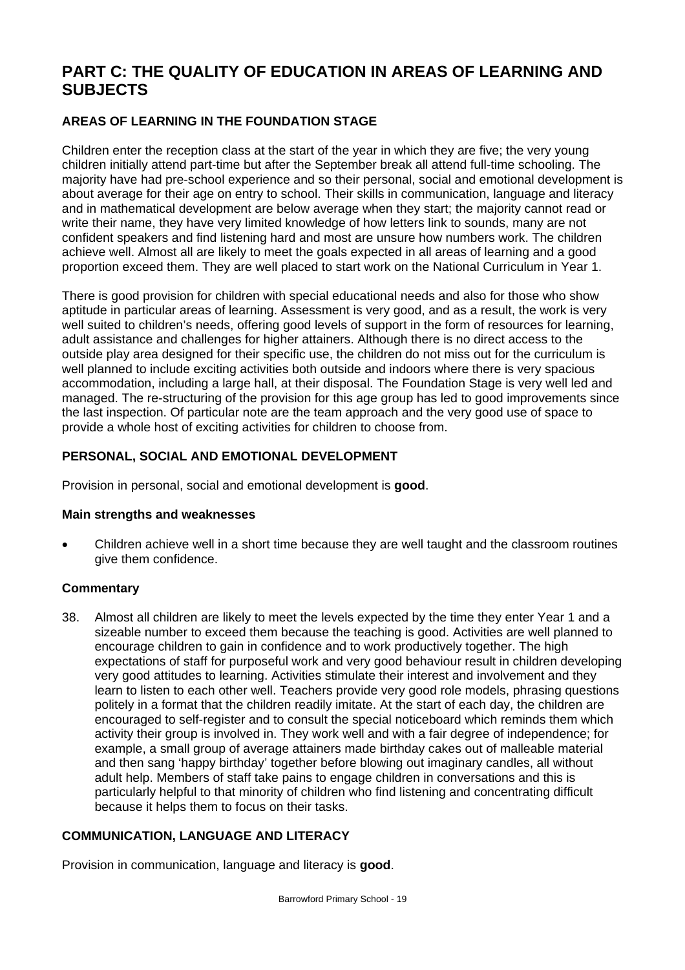# **PART C: THE QUALITY OF EDUCATION IN AREAS OF LEARNING AND SUBJECTS**

## **AREAS OF LEARNING IN THE FOUNDATION STAGE**

Children enter the reception class at the start of the year in which they are five; the very young children initially attend part-time but after the September break all attend full-time schooling. The majority have had pre-school experience and so their personal, social and emotional development is about average for their age on entry to school. Their skills in communication, language and literacy and in mathematical development are below average when they start; the majority cannot read or write their name, they have very limited knowledge of how letters link to sounds, many are not confident speakers and find listening hard and most are unsure how numbers work. The children achieve well. Almost all are likely to meet the goals expected in all areas of learning and a good proportion exceed them. They are well placed to start work on the National Curriculum in Year 1.

There is good provision for children with special educational needs and also for those who show aptitude in particular areas of learning. Assessment is very good, and as a result, the work is very well suited to children's needs, offering good levels of support in the form of resources for learning, adult assistance and challenges for higher attainers. Although there is no direct access to the outside play area designed for their specific use, the children do not miss out for the curriculum is well planned to include exciting activities both outside and indoors where there is very spacious accommodation, including a large hall, at their disposal. The Foundation Stage is very well led and managed. The re-structuring of the provision for this age group has led to good improvements since the last inspection. Of particular note are the team approach and the very good use of space to provide a whole host of exciting activities for children to choose from.

## **PERSONAL, SOCIAL AND EMOTIONAL DEVELOPMENT**

Provision in personal, social and emotional development is **good**.

#### **Main strengths and weaknesses**

• Children achieve well in a short time because they are well taught and the classroom routines give them confidence.

## **Commentary**

38. Almost all children are likely to meet the levels expected by the time they enter Year 1 and a sizeable number to exceed them because the teaching is good. Activities are well planned to encourage children to gain in confidence and to work productively together. The high expectations of staff for purposeful work and very good behaviour result in children developing very good attitudes to learning. Activities stimulate their interest and involvement and they learn to listen to each other well. Teachers provide very good role models, phrasing questions politely in a format that the children readily imitate. At the start of each day, the children are encouraged to self-register and to consult the special noticeboard which reminds them which activity their group is involved in. They work well and with a fair degree of independence; for example, a small group of average attainers made birthday cakes out of malleable material and then sang 'happy birthday' together before blowing out imaginary candles, all without adult help. Members of staff take pains to engage children in conversations and this is particularly helpful to that minority of children who find listening and concentrating difficult because it helps them to focus on their tasks.

## **COMMUNICATION, LANGUAGE AND LITERACY**

Provision in communication, language and literacy is **good**.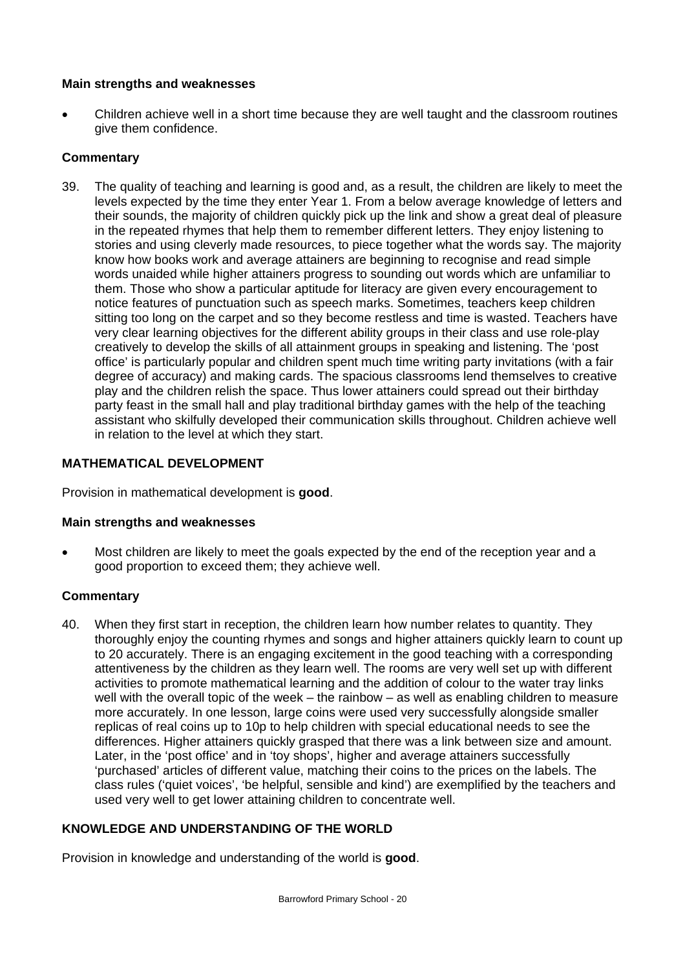## **Main strengths and weaknesses**

• Children achieve well in a short time because they are well taught and the classroom routines give them confidence.

## **Commentary**

39. The quality of teaching and learning is good and, as a result, the children are likely to meet the levels expected by the time they enter Year 1. From a below average knowledge of letters and their sounds, the majority of children quickly pick up the link and show a great deal of pleasure in the repeated rhymes that help them to remember different letters. They enjoy listening to stories and using cleverly made resources, to piece together what the words say. The majority know how books work and average attainers are beginning to recognise and read simple words unaided while higher attainers progress to sounding out words which are unfamiliar to them. Those who show a particular aptitude for literacy are given every encouragement to notice features of punctuation such as speech marks. Sometimes, teachers keep children sitting too long on the carpet and so they become restless and time is wasted. Teachers have very clear learning objectives for the different ability groups in their class and use role-play creatively to develop the skills of all attainment groups in speaking and listening. The 'post office' is particularly popular and children spent much time writing party invitations (with a fair degree of accuracy) and making cards. The spacious classrooms lend themselves to creative play and the children relish the space. Thus lower attainers could spread out their birthday party feast in the small hall and play traditional birthday games with the help of the teaching assistant who skilfully developed their communication skills throughout. Children achieve well in relation to the level at which they start.

## **MATHEMATICAL DEVELOPMENT**

Provision in mathematical development is **good**.

## **Main strengths and weaknesses**

• Most children are likely to meet the goals expected by the end of the reception year and a good proportion to exceed them; they achieve well.

## **Commentary**

40. When they first start in reception, the children learn how number relates to quantity. They thoroughly enjoy the counting rhymes and songs and higher attainers quickly learn to count up to 20 accurately. There is an engaging excitement in the good teaching with a corresponding attentiveness by the children as they learn well. The rooms are very well set up with different activities to promote mathematical learning and the addition of colour to the water tray links well with the overall topic of the week – the rainbow – as well as enabling children to measure more accurately. In one lesson, large coins were used very successfully alongside smaller replicas of real coins up to 10p to help children with special educational needs to see the differences. Higher attainers quickly grasped that there was a link between size and amount. Later, in the 'post office' and in 'toy shops', higher and average attainers successfully 'purchased' articles of different value, matching their coins to the prices on the labels. The class rules ('quiet voices', 'be helpful, sensible and kind') are exemplified by the teachers and used very well to get lower attaining children to concentrate well.

## **KNOWLEDGE AND UNDERSTANDING OF THE WORLD**

Provision in knowledge and understanding of the world is **good**.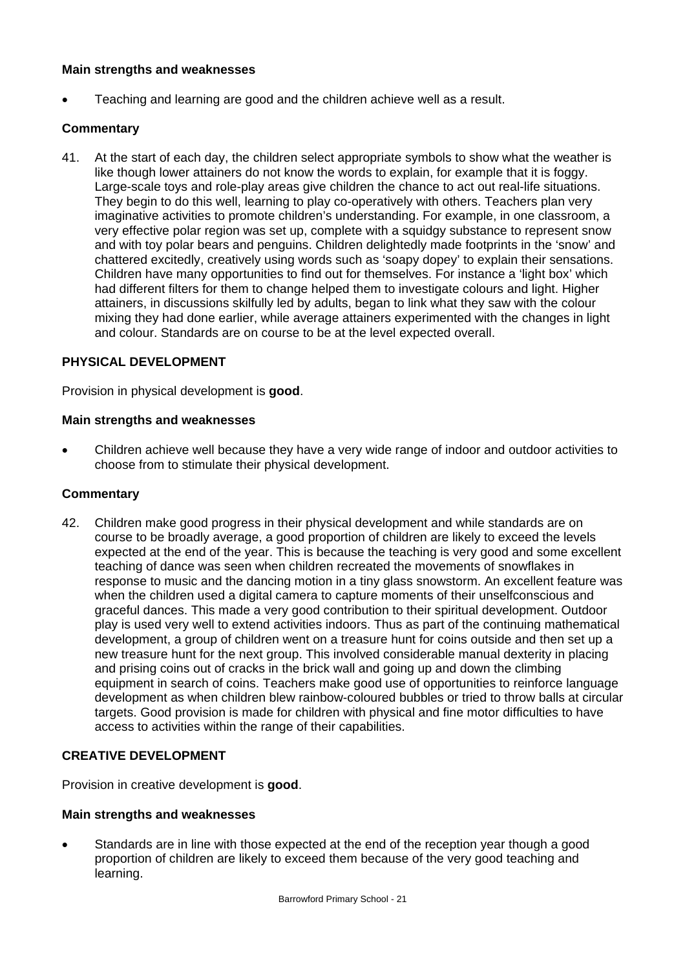## **Main strengths and weaknesses**

• Teaching and learning are good and the children achieve well as a result.

## **Commentary**

41. At the start of each day, the children select appropriate symbols to show what the weather is like though lower attainers do not know the words to explain, for example that it is foggy. Large-scale toys and role-play areas give children the chance to act out real-life situations. They begin to do this well, learning to play co-operatively with others. Teachers plan very imaginative activities to promote children's understanding. For example, in one classroom, a very effective polar region was set up, complete with a squidgy substance to represent snow and with toy polar bears and penguins. Children delightedly made footprints in the 'snow' and chattered excitedly, creatively using words such as 'soapy dopey' to explain their sensations. Children have many opportunities to find out for themselves. For instance a 'light box' which had different filters for them to change helped them to investigate colours and light. Higher attainers, in discussions skilfully led by adults, began to link what they saw with the colour mixing they had done earlier, while average attainers experimented with the changes in light and colour. Standards are on course to be at the level expected overall.

## **PHYSICAL DEVELOPMENT**

Provision in physical development is **good**.

#### **Main strengths and weaknesses**

• Children achieve well because they have a very wide range of indoor and outdoor activities to choose from to stimulate their physical development.

## **Commentary**

42. Children make good progress in their physical development and while standards are on course to be broadly average, a good proportion of children are likely to exceed the levels expected at the end of the year. This is because the teaching is very good and some excellent teaching of dance was seen when children recreated the movements of snowflakes in response to music and the dancing motion in a tiny glass snowstorm. An excellent feature was when the children used a digital camera to capture moments of their unselfconscious and graceful dances. This made a very good contribution to their spiritual development. Outdoor play is used very well to extend activities indoors. Thus as part of the continuing mathematical development, a group of children went on a treasure hunt for coins outside and then set up a new treasure hunt for the next group. This involved considerable manual dexterity in placing and prising coins out of cracks in the brick wall and going up and down the climbing equipment in search of coins. Teachers make good use of opportunities to reinforce language development as when children blew rainbow-coloured bubbles or tried to throw balls at circular targets. Good provision is made for children with physical and fine motor difficulties to have access to activities within the range of their capabilities.

## **CREATIVE DEVELOPMENT**

Provision in creative development is **good**.

#### **Main strengths and weaknesses**

• Standards are in line with those expected at the end of the reception year though a good proportion of children are likely to exceed them because of the very good teaching and learning.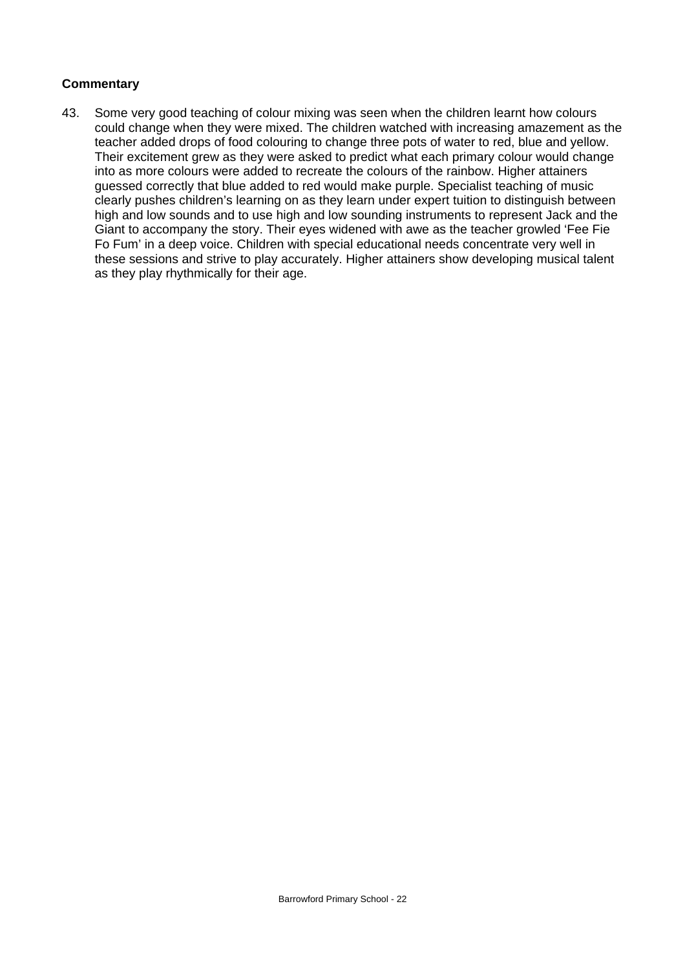## **Commentary**

43. Some very good teaching of colour mixing was seen when the children learnt how colours could change when they were mixed. The children watched with increasing amazement as the teacher added drops of food colouring to change three pots of water to red, blue and yellow. Their excitement grew as they were asked to predict what each primary colour would change into as more colours were added to recreate the colours of the rainbow. Higher attainers guessed correctly that blue added to red would make purple. Specialist teaching of music clearly pushes children's learning on as they learn under expert tuition to distinguish between high and low sounds and to use high and low sounding instruments to represent Jack and the Giant to accompany the story. Their eyes widened with awe as the teacher growled 'Fee Fie Fo Fum' in a deep voice. Children with special educational needs concentrate very well in these sessions and strive to play accurately. Higher attainers show developing musical talent as they play rhythmically for their age.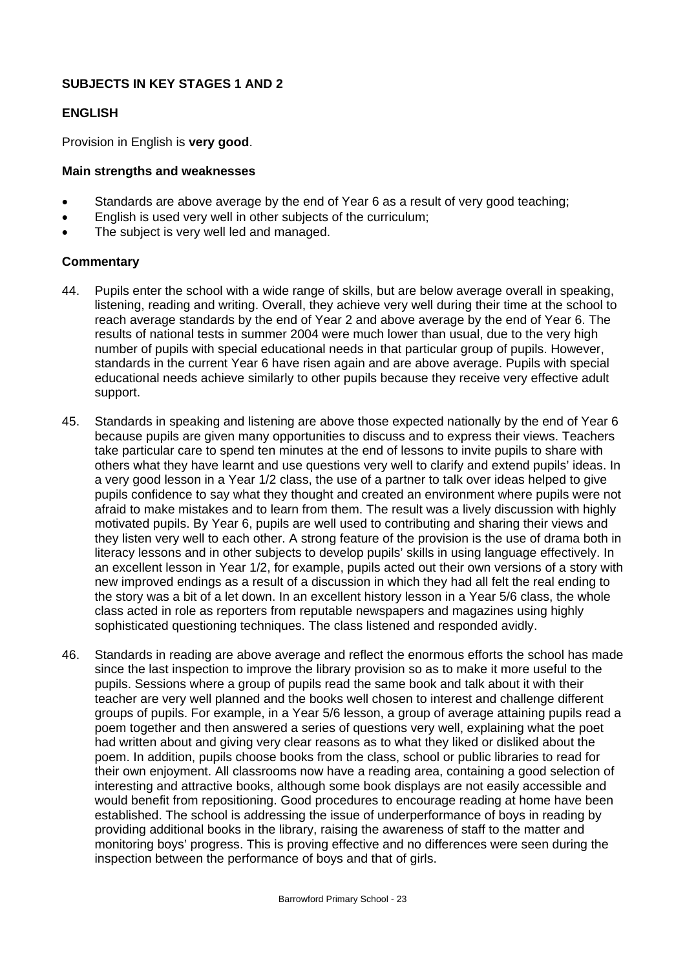## **SUBJECTS IN KEY STAGES 1 AND 2**

## **ENGLISH**

Provision in English is **very good**.

#### **Main strengths and weaknesses**

- Standards are above average by the end of Year 6 as a result of very good teaching;
- English is used very well in other subjects of the curriculum;
- The subject is very well led and managed.

## **Commentary**

- 44. Pupils enter the school with a wide range of skills, but are below average overall in speaking, listening, reading and writing. Overall, they achieve very well during their time at the school to reach average standards by the end of Year 2 and above average by the end of Year 6. The results of national tests in summer 2004 were much lower than usual, due to the very high number of pupils with special educational needs in that particular group of pupils. However, standards in the current Year 6 have risen again and are above average. Pupils with special educational needs achieve similarly to other pupils because they receive very effective adult support.
- 45. Standards in speaking and listening are above those expected nationally by the end of Year 6 because pupils are given many opportunities to discuss and to express their views. Teachers take particular care to spend ten minutes at the end of lessons to invite pupils to share with others what they have learnt and use questions very well to clarify and extend pupils' ideas. In a very good lesson in a Year 1/2 class, the use of a partner to talk over ideas helped to give pupils confidence to say what they thought and created an environment where pupils were not afraid to make mistakes and to learn from them. The result was a lively discussion with highly motivated pupils. By Year 6, pupils are well used to contributing and sharing their views and they listen very well to each other. A strong feature of the provision is the use of drama both in literacy lessons and in other subjects to develop pupils' skills in using language effectively. In an excellent lesson in Year 1/2, for example, pupils acted out their own versions of a story with new improved endings as a result of a discussion in which they had all felt the real ending to the story was a bit of a let down. In an excellent history lesson in a Year 5/6 class, the whole class acted in role as reporters from reputable newspapers and magazines using highly sophisticated questioning techniques. The class listened and responded avidly.
- 46. Standards in reading are above average and reflect the enormous efforts the school has made since the last inspection to improve the library provision so as to make it more useful to the pupils. Sessions where a group of pupils read the same book and talk about it with their teacher are very well planned and the books well chosen to interest and challenge different groups of pupils. For example, in a Year 5/6 lesson, a group of average attaining pupils read a poem together and then answered a series of questions very well, explaining what the poet had written about and giving very clear reasons as to what they liked or disliked about the poem. In addition, pupils choose books from the class, school or public libraries to read for their own enjoyment. All classrooms now have a reading area, containing a good selection of interesting and attractive books, although some book displays are not easily accessible and would benefit from repositioning. Good procedures to encourage reading at home have been established. The school is addressing the issue of underperformance of boys in reading by providing additional books in the library, raising the awareness of staff to the matter and monitoring boys' progress. This is proving effective and no differences were seen during the inspection between the performance of boys and that of girls.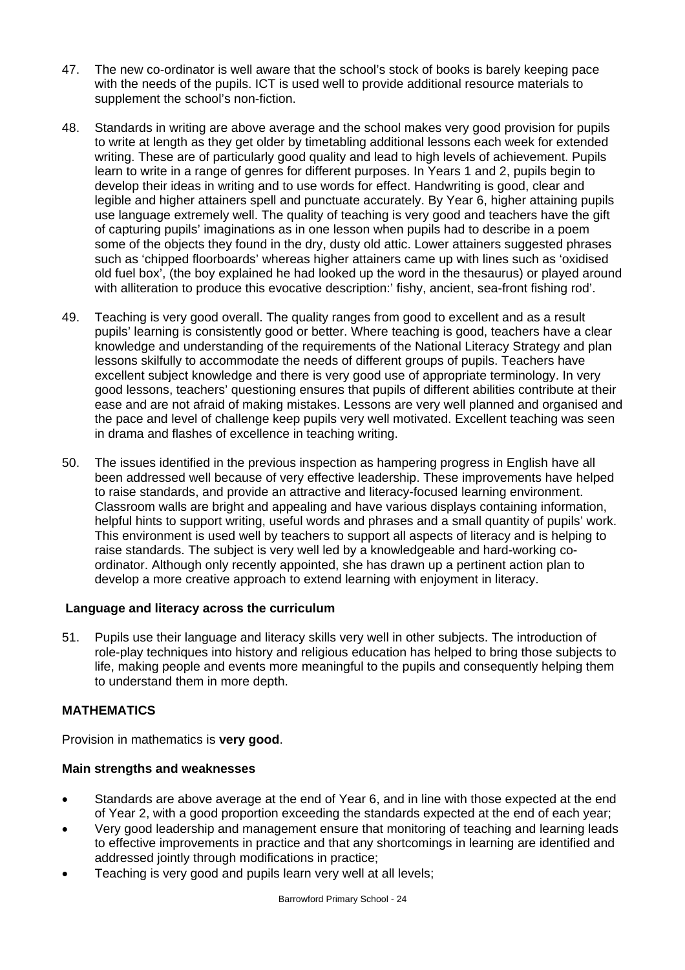- 47. The new co-ordinator is well aware that the school's stock of books is barely keeping pace with the needs of the pupils. ICT is used well to provide additional resource materials to supplement the school's non-fiction.
- 48. Standards in writing are above average and the school makes very good provision for pupils to write at length as they get older by timetabling additional lessons each week for extended writing. These are of particularly good quality and lead to high levels of achievement. Pupils learn to write in a range of genres for different purposes. In Years 1 and 2, pupils begin to develop their ideas in writing and to use words for effect. Handwriting is good, clear and legible and higher attainers spell and punctuate accurately. By Year 6, higher attaining pupils use language extremely well. The quality of teaching is very good and teachers have the gift of capturing pupils' imaginations as in one lesson when pupils had to describe in a poem some of the objects they found in the dry, dusty old attic. Lower attainers suggested phrases such as 'chipped floorboards' whereas higher attainers came up with lines such as 'oxidised old fuel box', (the boy explained he had looked up the word in the thesaurus) or played around with alliteration to produce this evocative description:' fishy, ancient, sea-front fishing rod'.
- 49. Teaching is very good overall. The quality ranges from good to excellent and as a result pupils' learning is consistently good or better. Where teaching is good, teachers have a clear knowledge and understanding of the requirements of the National Literacy Strategy and plan lessons skilfully to accommodate the needs of different groups of pupils. Teachers have excellent subject knowledge and there is very good use of appropriate terminology. In very good lessons, teachers' questioning ensures that pupils of different abilities contribute at their ease and are not afraid of making mistakes. Lessons are very well planned and organised and the pace and level of challenge keep pupils very well motivated. Excellent teaching was seen in drama and flashes of excellence in teaching writing.
- 50. The issues identified in the previous inspection as hampering progress in English have all been addressed well because of very effective leadership. These improvements have helped to raise standards, and provide an attractive and literacy-focused learning environment. Classroom walls are bright and appealing and have various displays containing information, helpful hints to support writing, useful words and phrases and a small quantity of pupils' work. This environment is used well by teachers to support all aspects of literacy and is helping to raise standards. The subject is very well led by a knowledgeable and hard-working coordinator. Although only recently appointed, she has drawn up a pertinent action plan to develop a more creative approach to extend learning with enjoyment in literacy.

## **Language and literacy across the curriculum**

51. Pupils use their language and literacy skills very well in other subjects. The introduction of role-play techniques into history and religious education has helped to bring those subjects to life, making people and events more meaningful to the pupils and consequently helping them to understand them in more depth.

## **MATHEMATICS**

Provision in mathematics is **very good**.

## **Main strengths and weaknesses**

- Standards are above average at the end of Year 6, and in line with those expected at the end of Year 2, with a good proportion exceeding the standards expected at the end of each year;
- Very good leadership and management ensure that monitoring of teaching and learning leads to effective improvements in practice and that any shortcomings in learning are identified and addressed jointly through modifications in practice;
- Teaching is very good and pupils learn very well at all levels: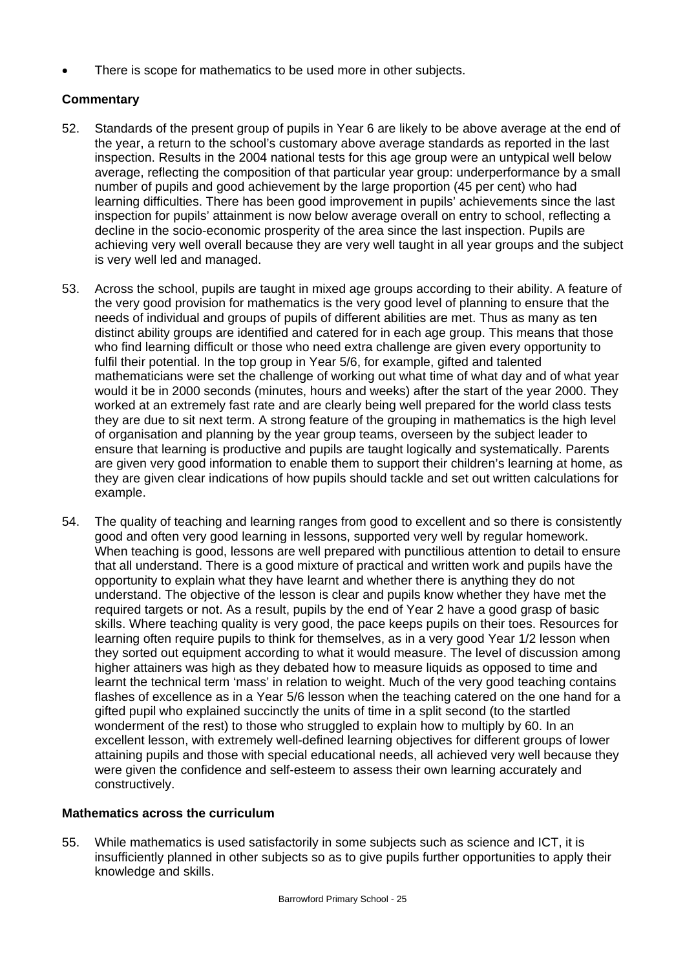There is scope for mathematics to be used more in other subjects.

## **Commentary**

- 52. Standards of the present group of pupils in Year 6 are likely to be above average at the end of the year, a return to the school's customary above average standards as reported in the last inspection. Results in the 2004 national tests for this age group were an untypical well below average, reflecting the composition of that particular year group: underperformance by a small number of pupils and good achievement by the large proportion (45 per cent) who had learning difficulties. There has been good improvement in pupils' achievements since the last inspection for pupils' attainment is now below average overall on entry to school, reflecting a decline in the socio-economic prosperity of the area since the last inspection. Pupils are achieving very well overall because they are very well taught in all year groups and the subject is very well led and managed.
- 53. Across the school, pupils are taught in mixed age groups according to their ability. A feature of the very good provision for mathematics is the very good level of planning to ensure that the needs of individual and groups of pupils of different abilities are met. Thus as many as ten distinct ability groups are identified and catered for in each age group. This means that those who find learning difficult or those who need extra challenge are given every opportunity to fulfil their potential. In the top group in Year 5/6, for example, gifted and talented mathematicians were set the challenge of working out what time of what day and of what year would it be in 2000 seconds (minutes, hours and weeks) after the start of the year 2000. They worked at an extremely fast rate and are clearly being well prepared for the world class tests they are due to sit next term. A strong feature of the grouping in mathematics is the high level of organisation and planning by the year group teams, overseen by the subject leader to ensure that learning is productive and pupils are taught logically and systematically. Parents are given very good information to enable them to support their children's learning at home, as they are given clear indications of how pupils should tackle and set out written calculations for example.
- 54. The quality of teaching and learning ranges from good to excellent and so there is consistently good and often very good learning in lessons, supported very well by regular homework. When teaching is good, lessons are well prepared with punctilious attention to detail to ensure that all understand. There is a good mixture of practical and written work and pupils have the opportunity to explain what they have learnt and whether there is anything they do not understand. The objective of the lesson is clear and pupils know whether they have met the required targets or not. As a result, pupils by the end of Year 2 have a good grasp of basic skills. Where teaching quality is very good, the pace keeps pupils on their toes. Resources for learning often require pupils to think for themselves, as in a very good Year 1/2 lesson when they sorted out equipment according to what it would measure. The level of discussion among higher attainers was high as they debated how to measure liquids as opposed to time and learnt the technical term 'mass' in relation to weight. Much of the very good teaching contains flashes of excellence as in a Year 5/6 lesson when the teaching catered on the one hand for a gifted pupil who explained succinctly the units of time in a split second (to the startled wonderment of the rest) to those who struggled to explain how to multiply by 60. In an excellent lesson, with extremely well-defined learning objectives for different groups of lower attaining pupils and those with special educational needs, all achieved very well because they were given the confidence and self-esteem to assess their own learning accurately and constructively.

## **Mathematics across the curriculum**

55. While mathematics is used satisfactorily in some subjects such as science and ICT, it is insufficiently planned in other subjects so as to give pupils further opportunities to apply their knowledge and skills.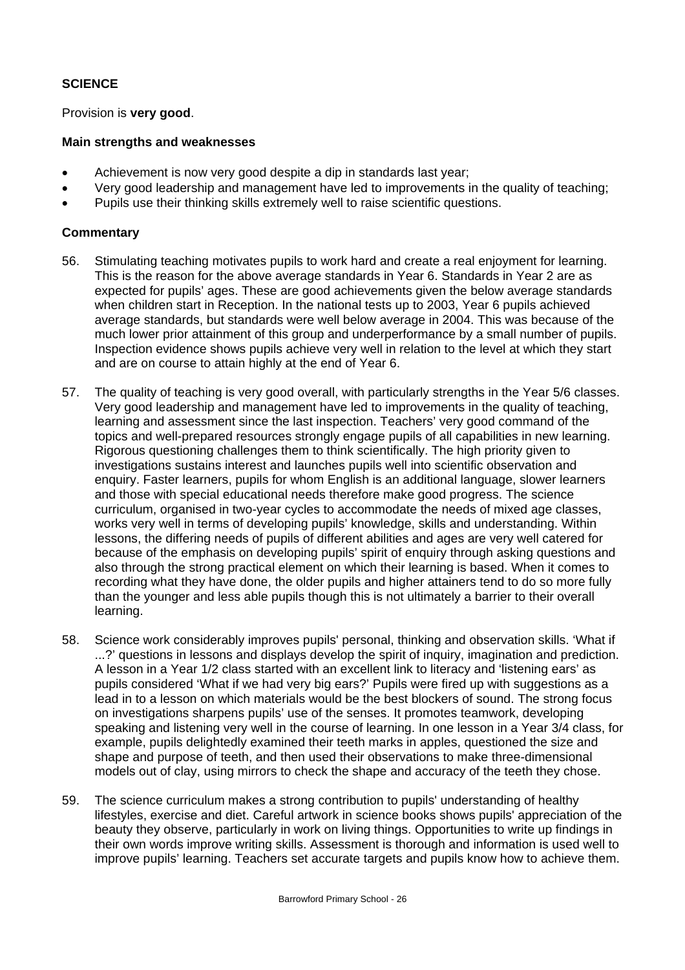## **SCIENCE**

Provision is **very good**.

#### **Main strengths and weaknesses**

- Achievement is now very good despite a dip in standards last year;
- Very good leadership and management have led to improvements in the quality of teaching;
- Pupils use their thinking skills extremely well to raise scientific questions.

## **Commentary**

- 56. Stimulating teaching motivates pupils to work hard and create a real enjoyment for learning. This is the reason for the above average standards in Year 6. Standards in Year 2 are as expected for pupils' ages. These are good achievements given the below average standards when children start in Reception. In the national tests up to 2003, Year 6 pupils achieved average standards, but standards were well below average in 2004. This was because of the much lower prior attainment of this group and underperformance by a small number of pupils. Inspection evidence shows pupils achieve very well in relation to the level at which they start and are on course to attain highly at the end of Year 6.
- 57. The quality of teaching is very good overall, with particularly strengths in the Year 5/6 classes. Very good leadership and management have led to improvements in the quality of teaching, learning and assessment since the last inspection. Teachers' very good command of the topics and well-prepared resources strongly engage pupils of all capabilities in new learning. Rigorous questioning challenges them to think scientifically. The high priority given to investigations sustains interest and launches pupils well into scientific observation and enquiry. Faster learners, pupils for whom English is an additional language, slower learners and those with special educational needs therefore make good progress. The science curriculum, organised in two-year cycles to accommodate the needs of mixed age classes, works very well in terms of developing pupils' knowledge, skills and understanding. Within lessons, the differing needs of pupils of different abilities and ages are very well catered for because of the emphasis on developing pupils' spirit of enquiry through asking questions and also through the strong practical element on which their learning is based. When it comes to recording what they have done, the older pupils and higher attainers tend to do so more fully than the younger and less able pupils though this is not ultimately a barrier to their overall learning.
- 58. Science work considerably improves pupils' personal, thinking and observation skills. 'What if ...?' questions in lessons and displays develop the spirit of inquiry, imagination and prediction. A lesson in a Year 1/2 class started with an excellent link to literacy and 'listening ears' as pupils considered 'What if we had very big ears?' Pupils were fired up with suggestions as a lead in to a lesson on which materials would be the best blockers of sound. The strong focus on investigations sharpens pupils' use of the senses. It promotes teamwork, developing speaking and listening very well in the course of learning. In one lesson in a Year 3/4 class, for example, pupils delightedly examined their teeth marks in apples, questioned the size and shape and purpose of teeth, and then used their observations to make three-dimensional models out of clay, using mirrors to check the shape and accuracy of the teeth they chose.
- 59. The science curriculum makes a strong contribution to pupils' understanding of healthy lifestyles, exercise and diet. Careful artwork in science books shows pupils' appreciation of the beauty they observe, particularly in work on living things. Opportunities to write up findings in their own words improve writing skills. Assessment is thorough and information is used well to improve pupils' learning. Teachers set accurate targets and pupils know how to achieve them.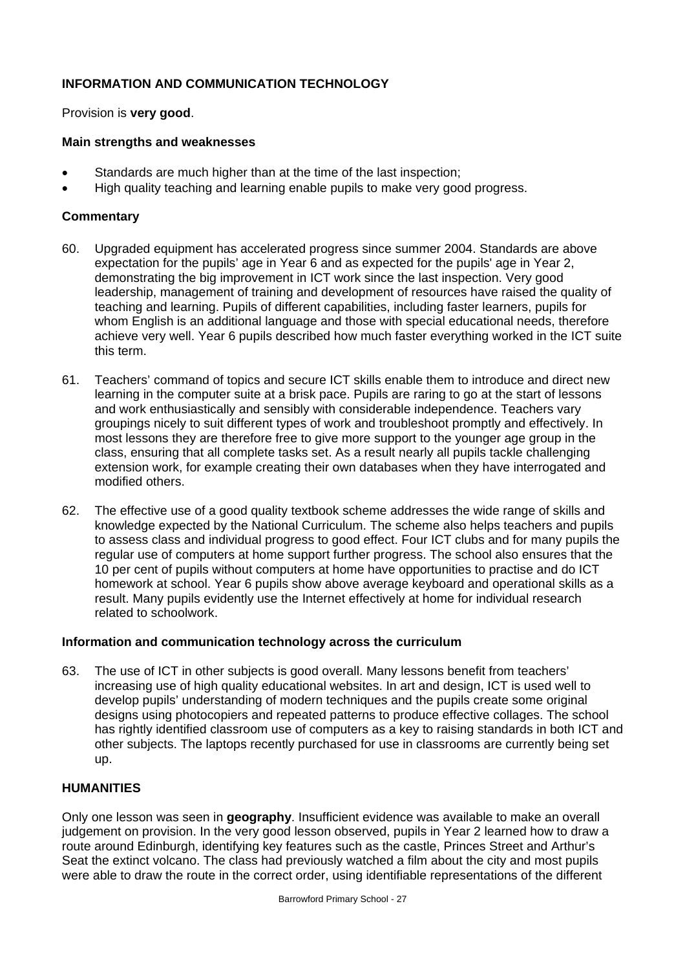## **INFORMATION AND COMMUNICATION TECHNOLOGY**

Provision is **very good**.

#### **Main strengths and weaknesses**

- Standards are much higher than at the time of the last inspection;
- High quality teaching and learning enable pupils to make very good progress.

## **Commentary**

- 60. Upgraded equipment has accelerated progress since summer 2004. Standards are above expectation for the pupils' age in Year 6 and as expected for the pupils' age in Year 2, demonstrating the big improvement in ICT work since the last inspection. Very good leadership, management of training and development of resources have raised the quality of teaching and learning. Pupils of different capabilities, including faster learners, pupils for whom English is an additional language and those with special educational needs, therefore achieve very well. Year 6 pupils described how much faster everything worked in the ICT suite this term.
- 61. Teachers' command of topics and secure ICT skills enable them to introduce and direct new learning in the computer suite at a brisk pace. Pupils are raring to go at the start of lessons and work enthusiastically and sensibly with considerable independence. Teachers vary groupings nicely to suit different types of work and troubleshoot promptly and effectively. In most lessons they are therefore free to give more support to the younger age group in the class, ensuring that all complete tasks set. As a result nearly all pupils tackle challenging extension work, for example creating their own databases when they have interrogated and modified others.
- 62. The effective use of a good quality textbook scheme addresses the wide range of skills and knowledge expected by the National Curriculum. The scheme also helps teachers and pupils to assess class and individual progress to good effect. Four ICT clubs and for many pupils the regular use of computers at home support further progress. The school also ensures that the 10 per cent of pupils without computers at home have opportunities to practise and do ICT homework at school. Year 6 pupils show above average keyboard and operational skills as a result. Many pupils evidently use the Internet effectively at home for individual research related to schoolwork.

#### **Information and communication technology across the curriculum**

63. The use of ICT in other subjects is good overall. Many lessons benefit from teachers' increasing use of high quality educational websites. In art and design, ICT is used well to develop pupils' understanding of modern techniques and the pupils create some original designs using photocopiers and repeated patterns to produce effective collages. The school has rightly identified classroom use of computers as a key to raising standards in both ICT and other subjects. The laptops recently purchased for use in classrooms are currently being set up.

## **HUMANITIES**

Only one lesson was seen in **geography**. Insufficient evidence was available to make an overall judgement on provision. In the very good lesson observed, pupils in Year 2 learned how to draw a route around Edinburgh, identifying key features such as the castle, Princes Street and Arthur's Seat the extinct volcano. The class had previously watched a film about the city and most pupils were able to draw the route in the correct order, using identifiable representations of the different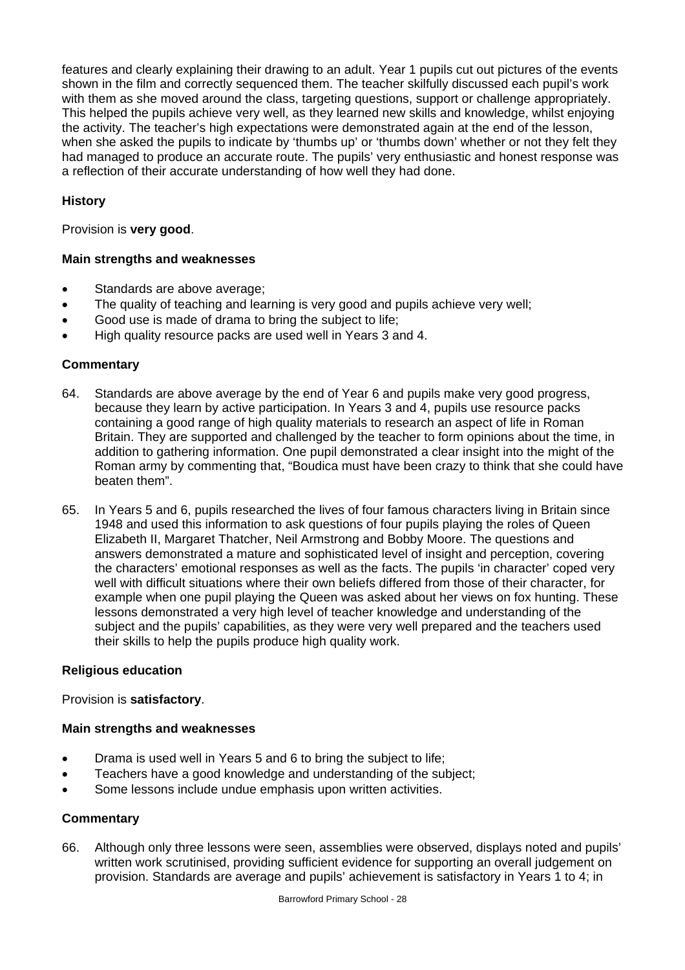features and clearly explaining their drawing to an adult. Year 1 pupils cut out pictures of the events shown in the film and correctly sequenced them. The teacher skilfully discussed each pupil's work with them as she moved around the class, targeting questions, support or challenge appropriately. This helped the pupils achieve very well, as they learned new skills and knowledge, whilst enjoying the activity. The teacher's high expectations were demonstrated again at the end of the lesson, when she asked the pupils to indicate by 'thumbs up' or 'thumbs down' whether or not they felt they had managed to produce an accurate route. The pupils' very enthusiastic and honest response was a reflection of their accurate understanding of how well they had done.

## **History**

Provision is **very good**.

## **Main strengths and weaknesses**

- Standards are above average;
- The quality of teaching and learning is very good and pupils achieve very well;
- Good use is made of drama to bring the subject to life;
- High quality resource packs are used well in Years 3 and 4.

## **Commentary**

- 64. Standards are above average by the end of Year 6 and pupils make very good progress, because they learn by active participation. In Years 3 and 4, pupils use resource packs containing a good range of high quality materials to research an aspect of life in Roman Britain. They are supported and challenged by the teacher to form opinions about the time, in addition to gathering information. One pupil demonstrated a clear insight into the might of the Roman army by commenting that, "Boudica must have been crazy to think that she could have beaten them".
- 65. In Years 5 and 6, pupils researched the lives of four famous characters living in Britain since 1948 and used this information to ask questions of four pupils playing the roles of Queen Elizabeth II, Margaret Thatcher, Neil Armstrong and Bobby Moore. The questions and answers demonstrated a mature and sophisticated level of insight and perception, covering the characters' emotional responses as well as the facts. The pupils 'in character' coped very well with difficult situations where their own beliefs differed from those of their character, for example when one pupil playing the Queen was asked about her views on fox hunting. These lessons demonstrated a very high level of teacher knowledge and understanding of the subject and the pupils' capabilities, as they were very well prepared and the teachers used their skills to help the pupils produce high quality work.

## **Religious education**

Provision is **satisfactory**.

## **Main strengths and weaknesses**

- Drama is used well in Years 5 and 6 to bring the subject to life;
- Teachers have a good knowledge and understanding of the subject;
- Some lessons include undue emphasis upon written activities.

## **Commentary**

66. Although only three lessons were seen, assemblies were observed, displays noted and pupils' written work scrutinised, providing sufficient evidence for supporting an overall judgement on provision. Standards are average and pupils' achievement is satisfactory in Years 1 to 4; in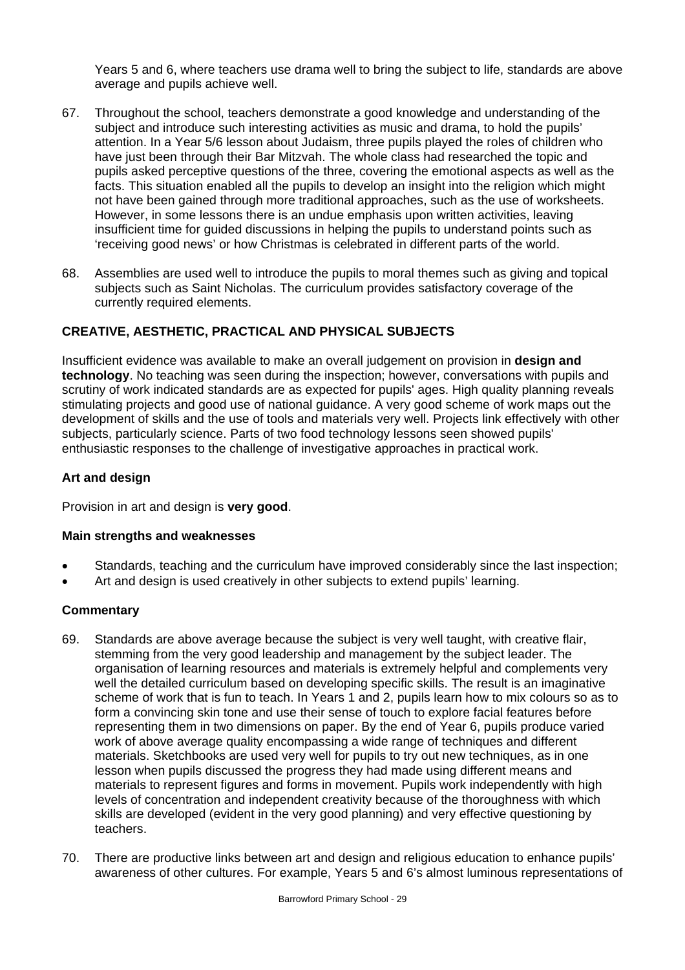Years 5 and 6, where teachers use drama well to bring the subject to life, standards are above average and pupils achieve well.

- 67. Throughout the school, teachers demonstrate a good knowledge and understanding of the subject and introduce such interesting activities as music and drama, to hold the pupils' attention. In a Year 5/6 lesson about Judaism, three pupils played the roles of children who have just been through their Bar Mitzvah. The whole class had researched the topic and pupils asked perceptive questions of the three, covering the emotional aspects as well as the facts. This situation enabled all the pupils to develop an insight into the religion which might not have been gained through more traditional approaches, such as the use of worksheets. However, in some lessons there is an undue emphasis upon written activities, leaving insufficient time for guided discussions in helping the pupils to understand points such as 'receiving good news' or how Christmas is celebrated in different parts of the world.
- 68. Assemblies are used well to introduce the pupils to moral themes such as giving and topical subjects such as Saint Nicholas. The curriculum provides satisfactory coverage of the currently required elements.

## **CREATIVE, AESTHETIC, PRACTICAL AND PHYSICAL SUBJECTS**

Insufficient evidence was available to make an overall judgement on provision in **design and technology**. No teaching was seen during the inspection; however, conversations with pupils and scrutiny of work indicated standards are as expected for pupils' ages. High quality planning reveals stimulating projects and good use of national guidance. A very good scheme of work maps out the development of skills and the use of tools and materials very well. Projects link effectively with other subjects, particularly science. Parts of two food technology lessons seen showed pupils' enthusiastic responses to the challenge of investigative approaches in practical work.

## **Art and design**

Provision in art and design is **very good**.

## **Main strengths and weaknesses**

- Standards, teaching and the curriculum have improved considerably since the last inspection;
- Art and design is used creatively in other subjects to extend pupils' learning.

## **Commentary**

- 69. Standards are above average because the subject is very well taught, with creative flair, stemming from the very good leadership and management by the subject leader. The organisation of learning resources and materials is extremely helpful and complements very well the detailed curriculum based on developing specific skills. The result is an imaginative scheme of work that is fun to teach. In Years 1 and 2, pupils learn how to mix colours so as to form a convincing skin tone and use their sense of touch to explore facial features before representing them in two dimensions on paper. By the end of Year 6, pupils produce varied work of above average quality encompassing a wide range of techniques and different materials. Sketchbooks are used very well for pupils to try out new techniques, as in one lesson when pupils discussed the progress they had made using different means and materials to represent figures and forms in movement. Pupils work independently with high levels of concentration and independent creativity because of the thoroughness with which skills are developed (evident in the very good planning) and very effective questioning by teachers.
- 70. There are productive links between art and design and religious education to enhance pupils' awareness of other cultures. For example, Years 5 and 6's almost luminous representations of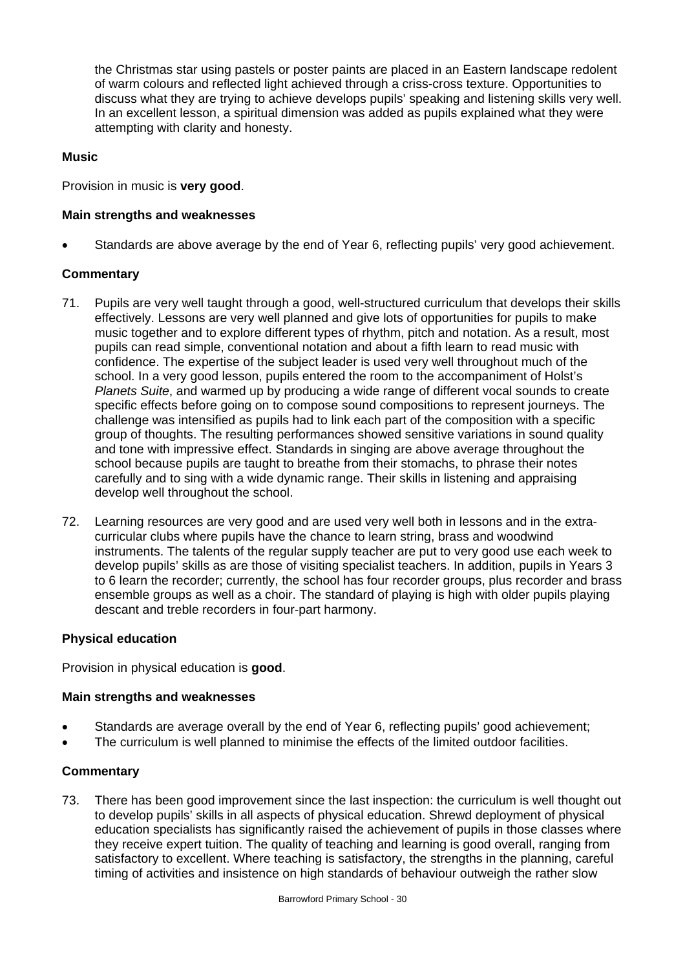the Christmas star using pastels or poster paints are placed in an Eastern landscape redolent of warm colours and reflected light achieved through a criss-cross texture. Opportunities to discuss what they are trying to achieve develops pupils' speaking and listening skills very well. In an excellent lesson, a spiritual dimension was added as pupils explained what they were attempting with clarity and honesty.

## **Music**

Provision in music is **very good**.

## **Main strengths and weaknesses**

Standards are above average by the end of Year 6, reflecting pupils' very good achievement.

## **Commentary**

- 71. Pupils are very well taught through a good, well-structured curriculum that develops their skills effectively. Lessons are very well planned and give lots of opportunities for pupils to make music together and to explore different types of rhythm, pitch and notation. As a result, most pupils can read simple, conventional notation and about a fifth learn to read music with confidence. The expertise of the subject leader is used very well throughout much of the school. In a very good lesson, pupils entered the room to the accompaniment of Holst's *Planets Suite*, and warmed up by producing a wide range of different vocal sounds to create specific effects before going on to compose sound compositions to represent journeys. The challenge was intensified as pupils had to link each part of the composition with a specific group of thoughts. The resulting performances showed sensitive variations in sound quality and tone with impressive effect. Standards in singing are above average throughout the school because pupils are taught to breathe from their stomachs, to phrase their notes carefully and to sing with a wide dynamic range. Their skills in listening and appraising develop well throughout the school.
- 72. Learning resources are very good and are used very well both in lessons and in the extracurricular clubs where pupils have the chance to learn string, brass and woodwind instruments. The talents of the regular supply teacher are put to very good use each week to develop pupils' skills as are those of visiting specialist teachers. In addition, pupils in Years 3 to 6 learn the recorder; currently, the school has four recorder groups, plus recorder and brass ensemble groups as well as a choir. The standard of playing is high with older pupils playing descant and treble recorders in four-part harmony.

## **Physical education**

Provision in physical education is **good**.

## **Main strengths and weaknesses**

- Standards are average overall by the end of Year 6, reflecting pupils' good achievement;
- The curriculum is well planned to minimise the effects of the limited outdoor facilities.

#### **Commentary**

73. There has been good improvement since the last inspection: the curriculum is well thought out to develop pupils' skills in all aspects of physical education. Shrewd deployment of physical education specialists has significantly raised the achievement of pupils in those classes where they receive expert tuition. The quality of teaching and learning is good overall, ranging from satisfactory to excellent. Where teaching is satisfactory, the strengths in the planning, careful timing of activities and insistence on high standards of behaviour outweigh the rather slow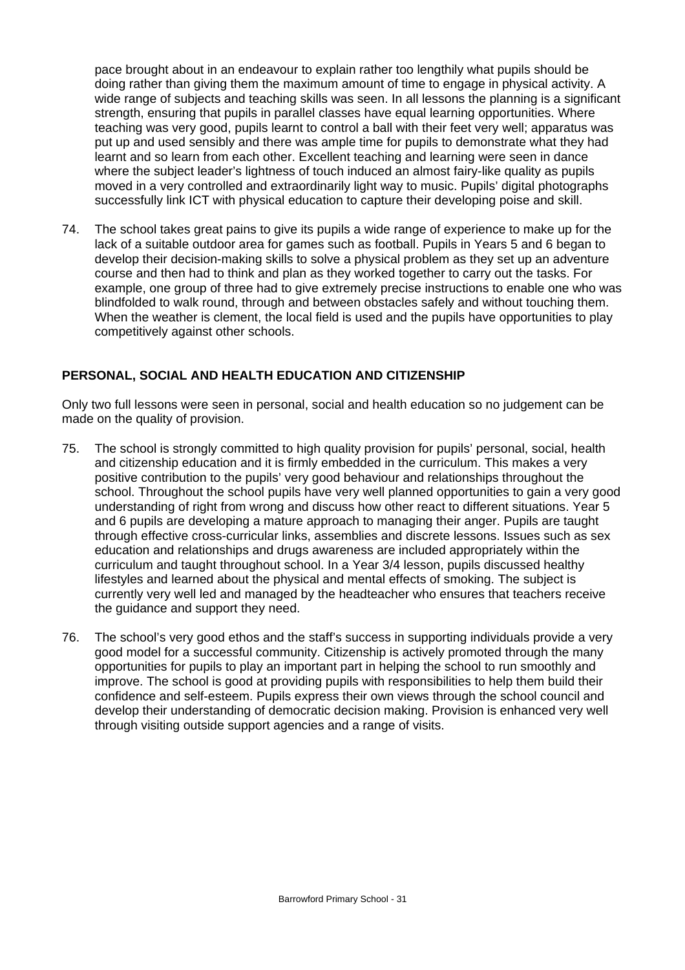pace brought about in an endeavour to explain rather too lengthily what pupils should be doing rather than giving them the maximum amount of time to engage in physical activity. A wide range of subjects and teaching skills was seen. In all lessons the planning is a significant strength, ensuring that pupils in parallel classes have equal learning opportunities. Where teaching was very good, pupils learnt to control a ball with their feet very well; apparatus was put up and used sensibly and there was ample time for pupils to demonstrate what they had learnt and so learn from each other. Excellent teaching and learning were seen in dance where the subject leader's lightness of touch induced an almost fairy-like quality as pupils moved in a very controlled and extraordinarily light way to music. Pupils' digital photographs successfully link ICT with physical education to capture their developing poise and skill.

74. The school takes great pains to give its pupils a wide range of experience to make up for the lack of a suitable outdoor area for games such as football. Pupils in Years 5 and 6 began to develop their decision-making skills to solve a physical problem as they set up an adventure course and then had to think and plan as they worked together to carry out the tasks. For example, one group of three had to give extremely precise instructions to enable one who was blindfolded to walk round, through and between obstacles safely and without touching them. When the weather is clement, the local field is used and the pupils have opportunities to play competitively against other schools.

## **PERSONAL, SOCIAL AND HEALTH EDUCATION AND CITIZENSHIP**

Only two full lessons were seen in personal, social and health education so no judgement can be made on the quality of provision.

- 75. The school is strongly committed to high quality provision for pupils' personal, social, health and citizenship education and it is firmly embedded in the curriculum. This makes a very positive contribution to the pupils' very good behaviour and relationships throughout the school. Throughout the school pupils have very well planned opportunities to gain a very good understanding of right from wrong and discuss how other react to different situations. Year 5 and 6 pupils are developing a mature approach to managing their anger. Pupils are taught through effective cross-curricular links, assemblies and discrete lessons. Issues such as sex education and relationships and drugs awareness are included appropriately within the curriculum and taught throughout school. In a Year 3/4 lesson, pupils discussed healthy lifestyles and learned about the physical and mental effects of smoking. The subject is currently very well led and managed by the headteacher who ensures that teachers receive the guidance and support they need.
- 76. The school's very good ethos and the staff's success in supporting individuals provide a very good model for a successful community. Citizenship is actively promoted through the many opportunities for pupils to play an important part in helping the school to run smoothly and improve. The school is good at providing pupils with responsibilities to help them build their confidence and self-esteem. Pupils express their own views through the school council and develop their understanding of democratic decision making. Provision is enhanced very well through visiting outside support agencies and a range of visits.